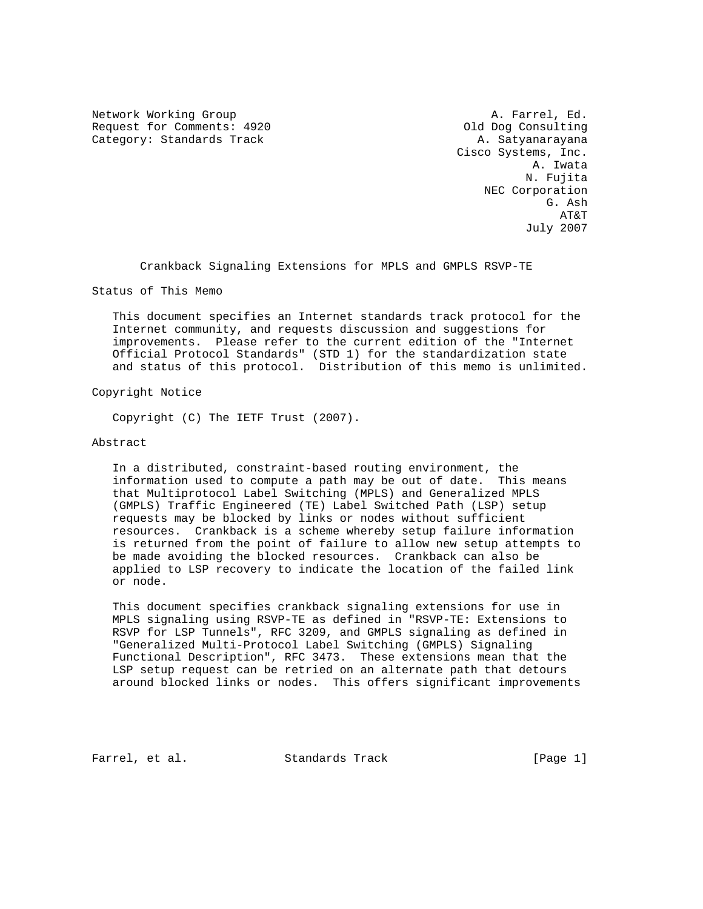Network Working Group and the set of the set of the A. Farrel, Ed. Request for Comments: 4920 Old Dog Consulting Category: Standards Track A. Satyanarayana

 Cisco Systems, Inc. A. Iwata N. Fujita NEC Corporation G. Ash AT&T July 2007

Crankback Signaling Extensions for MPLS and GMPLS RSVP-TE

Status of This Memo

 This document specifies an Internet standards track protocol for the Internet community, and requests discussion and suggestions for improvements. Please refer to the current edition of the "Internet Official Protocol Standards" (STD 1) for the standardization state and status of this protocol. Distribution of this memo is unlimited.

Copyright Notice

Copyright (C) The IETF Trust (2007).

# Abstract

 In a distributed, constraint-based routing environment, the information used to compute a path may be out of date. This means that Multiprotocol Label Switching (MPLS) and Generalized MPLS (GMPLS) Traffic Engineered (TE) Label Switched Path (LSP) setup requests may be blocked by links or nodes without sufficient resources. Crankback is a scheme whereby setup failure information is returned from the point of failure to allow new setup attempts to be made avoiding the blocked resources. Crankback can also be applied to LSP recovery to indicate the location of the failed link or node.

 This document specifies crankback signaling extensions for use in MPLS signaling using RSVP-TE as defined in "RSVP-TE: Extensions to RSVP for LSP Tunnels", RFC 3209, and GMPLS signaling as defined in "Generalized Multi-Protocol Label Switching (GMPLS) Signaling Functional Description", RFC 3473. These extensions mean that the LSP setup request can be retried on an alternate path that detours around blocked links or nodes. This offers significant improvements

Farrel, et al. Standards Track [Page 1]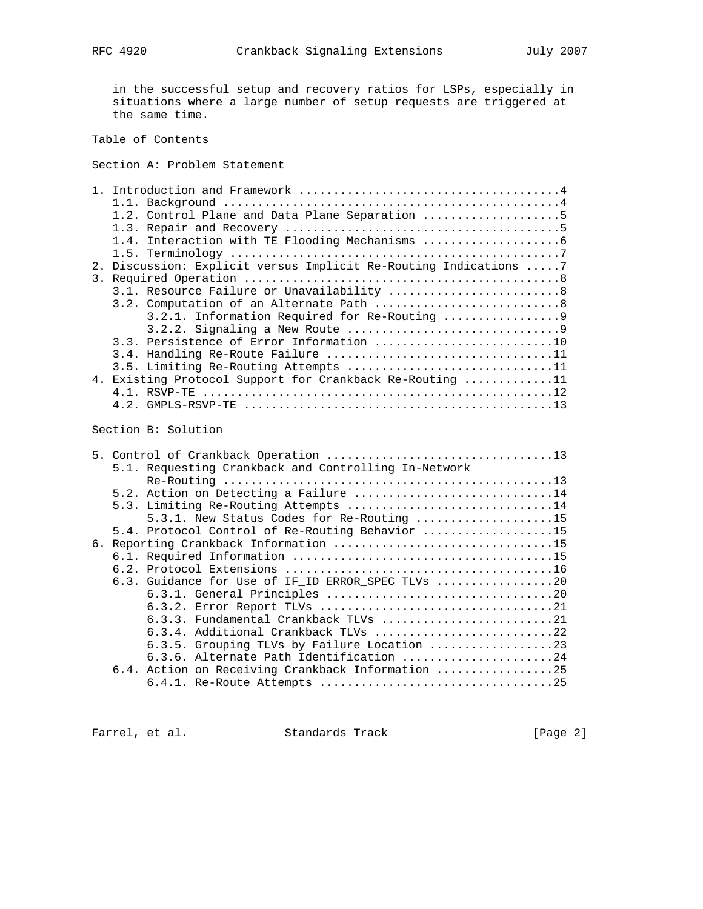in the successful setup and recovery ratios for LSPs, especially in situations where a large number of setup requests are triggered at the same time.

Table of Contents

Section A: Problem Statement

|    | 1.2. Control Plane and Data Plane Separation 5                   |
|----|------------------------------------------------------------------|
|    |                                                                  |
|    |                                                                  |
|    |                                                                  |
|    | 2. Discussion: Explicit versus Implicit Re-Routing Indications 7 |
| 3. |                                                                  |
|    | 3.1. Resource Failure or Unavailability 8                        |
|    |                                                                  |
|    |                                                                  |
|    |                                                                  |
|    | 3.3. Persistence of Error Information 10                         |
|    | 3.4. Handling Re-Route Failure 11                                |
|    | 3.5. Limiting Re-Routing Attempts 11                             |
|    | 4. Existing Protocol Support for Crankback Re-Routing 11         |
|    |                                                                  |
|    |                                                                  |

Section B: Solution

|  | 5.1. Requesting Crankback and Controlling In-Network |
|--|------------------------------------------------------|
|  |                                                      |
|  | 5.2. Action on Detecting a Failure 14                |
|  | 5.3. Limiting Re-Routing Attempts 14                 |
|  | 5.3.1. New Status Codes for Re-Routing 15            |
|  | 5.4. Protocol Control of Re-Routing Behavior 15      |
|  |                                                      |
|  |                                                      |
|  |                                                      |
|  | 6.3. Guidance for Use of IF_ID ERROR_SPEC TLVs 20    |
|  |                                                      |
|  |                                                      |
|  | 6.3.3. Fundamental Crankback TLVs 21                 |
|  | 6.3.4. Additional Crankback TLVs 22                  |
|  | 6.3.5. Grouping TLVs by Failure Location 23          |
|  | 6.3.6. Alternate Path Identification 24              |
|  | 6.4. Action on Receiving Crankback Information 25    |
|  |                                                      |
|  |                                                      |

Farrel, et al. Standards Track [Page 2]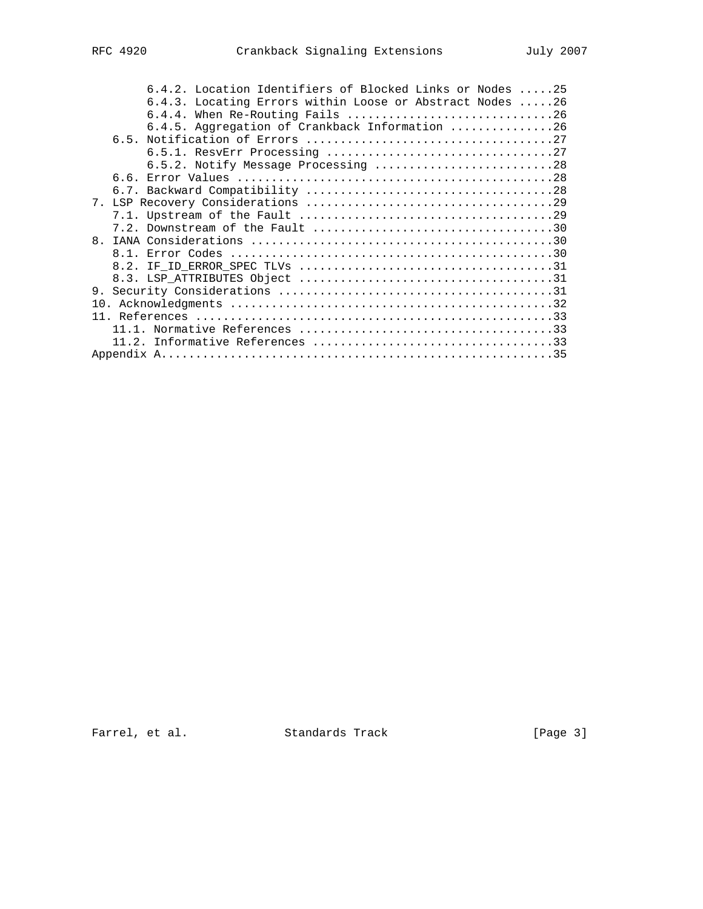| 6.4.2. Location Identifiers of Blocked Links or Nodes 25 |
|----------------------------------------------------------|
| 6.4.3. Locating Errors within Loose or Abstract Nodes 26 |
| 6.4.4. When Re-Routing Fails 26                          |
| 6.4.5. Aggregation of Crankback Information 26           |
|                                                          |
|                                                          |
| 6.5.2. Notify Message Processing 28                      |
|                                                          |
|                                                          |
|                                                          |
|                                                          |
|                                                          |
|                                                          |
|                                                          |
|                                                          |
|                                                          |
| 9.                                                       |
| 10 <sub>1</sub>                                          |
|                                                          |
|                                                          |
|                                                          |
|                                                          |

Farrel, et al. Standards Track [Page 3]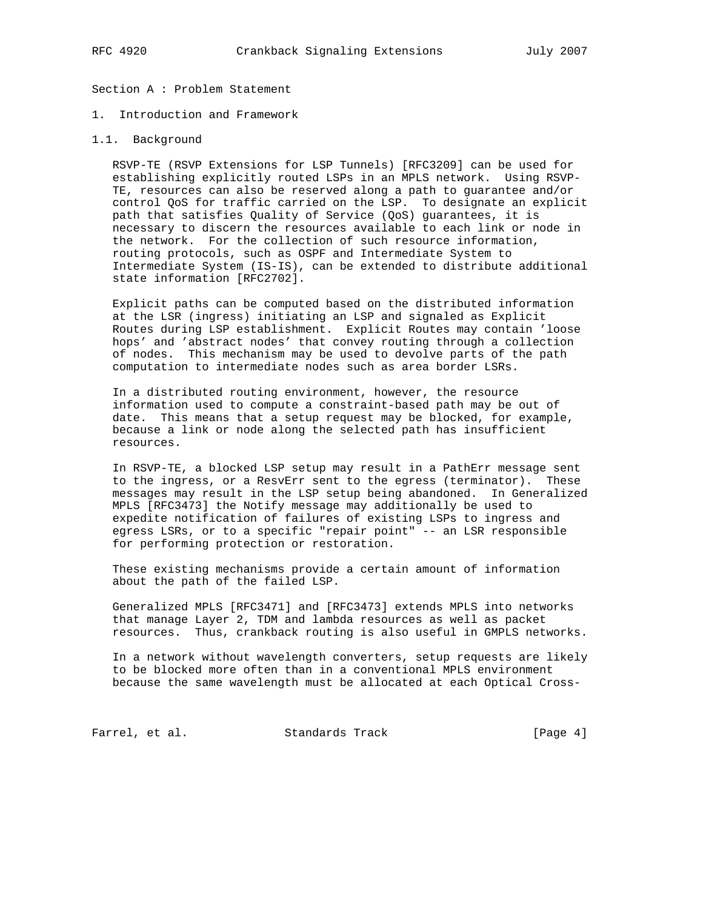Section A : Problem Statement

1. Introduction and Framework

## 1.1. Background

 RSVP-TE (RSVP Extensions for LSP Tunnels) [RFC3209] can be used for establishing explicitly routed LSPs in an MPLS network. Using RSVP- TE, resources can also be reserved along a path to guarantee and/or control QoS for traffic carried on the LSP. To designate an explicit path that satisfies Quality of Service (QoS) guarantees, it is necessary to discern the resources available to each link or node in the network. For the collection of such resource information, routing protocols, such as OSPF and Intermediate System to Intermediate System (IS-IS), can be extended to distribute additional state information [RFC2702].

 Explicit paths can be computed based on the distributed information at the LSR (ingress) initiating an LSP and signaled as Explicit Routes during LSP establishment. Explicit Routes may contain 'loose hops' and 'abstract nodes' that convey routing through a collection of nodes. This mechanism may be used to devolve parts of the path computation to intermediate nodes such as area border LSRs.

 In a distributed routing environment, however, the resource information used to compute a constraint-based path may be out of date. This means that a setup request may be blocked, for example, because a link or node along the selected path has insufficient resources.

 In RSVP-TE, a blocked LSP setup may result in a PathErr message sent to the ingress, or a ResvErr sent to the egress (terminator). These messages may result in the LSP setup being abandoned. In Generalized MPLS [RFC3473] the Notify message may additionally be used to expedite notification of failures of existing LSPs to ingress and egress LSRs, or to a specific "repair point" -- an LSR responsible for performing protection or restoration.

 These existing mechanisms provide a certain amount of information about the path of the failed LSP.

 Generalized MPLS [RFC3471] and [RFC3473] extends MPLS into networks that manage Layer 2, TDM and lambda resources as well as packet resources. Thus, crankback routing is also useful in GMPLS networks.

 In a network without wavelength converters, setup requests are likely to be blocked more often than in a conventional MPLS environment because the same wavelength must be allocated at each Optical Cross-

Farrel, et al. Standards Track [Page 4]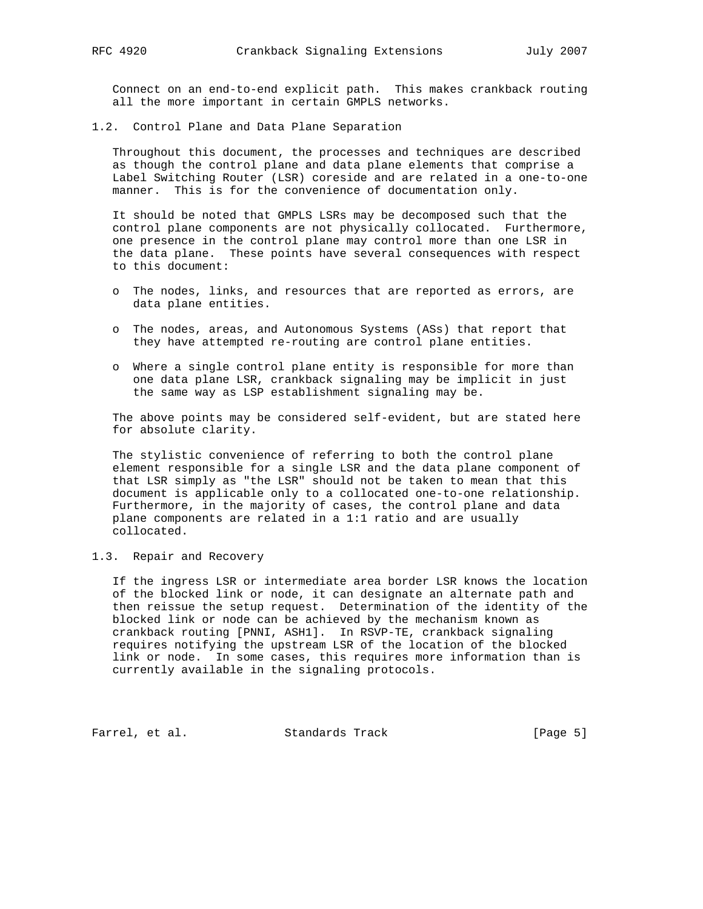Connect on an end-to-end explicit path. This makes crankback routing all the more important in certain GMPLS networks.

1.2. Control Plane and Data Plane Separation

 Throughout this document, the processes and techniques are described as though the control plane and data plane elements that comprise a Label Switching Router (LSR) coreside and are related in a one-to-one manner. This is for the convenience of documentation only.

 It should be noted that GMPLS LSRs may be decomposed such that the control plane components are not physically collocated. Furthermore, one presence in the control plane may control more than one LSR in the data plane. These points have several consequences with respect to this document:

- o The nodes, links, and resources that are reported as errors, are data plane entities.
- o The nodes, areas, and Autonomous Systems (ASs) that report that they have attempted re-routing are control plane entities.
- o Where a single control plane entity is responsible for more than one data plane LSR, crankback signaling may be implicit in just the same way as LSP establishment signaling may be.

 The above points may be considered self-evident, but are stated here for absolute clarity.

 The stylistic convenience of referring to both the control plane element responsible for a single LSR and the data plane component of that LSR simply as "the LSR" should not be taken to mean that this document is applicable only to a collocated one-to-one relationship. Furthermore, in the majority of cases, the control plane and data plane components are related in a 1:1 ratio and are usually collocated.

# 1.3. Repair and Recovery

 If the ingress LSR or intermediate area border LSR knows the location of the blocked link or node, it can designate an alternate path and then reissue the setup request. Determination of the identity of the blocked link or node can be achieved by the mechanism known as crankback routing [PNNI, ASH1]. In RSVP-TE, crankback signaling requires notifying the upstream LSR of the location of the blocked link or node. In some cases, this requires more information than is currently available in the signaling protocols.

Farrel, et al. Standards Track [Page 5]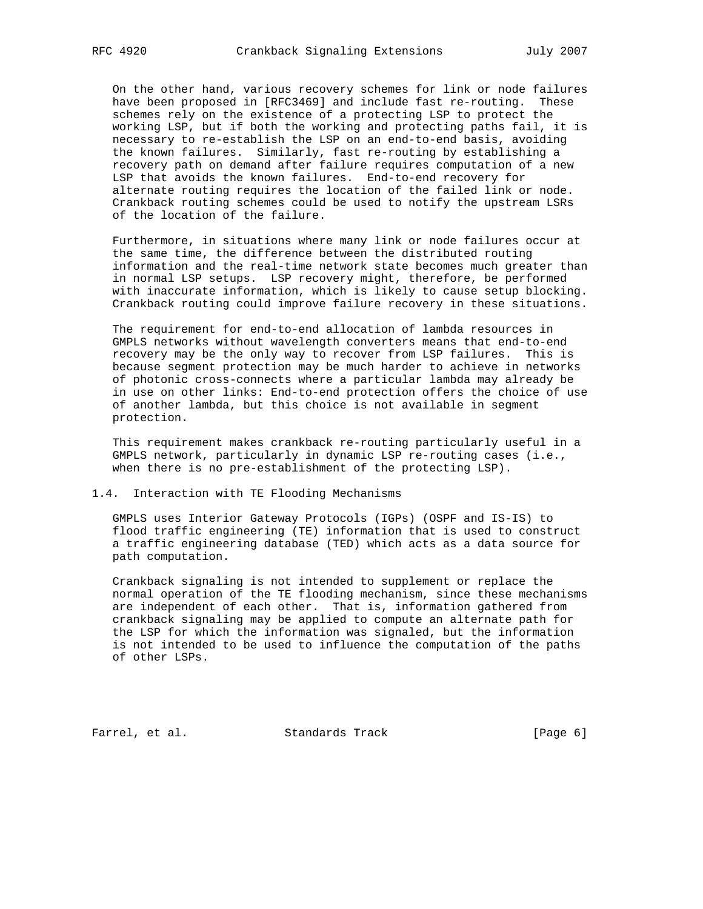On the other hand, various recovery schemes for link or node failures have been proposed in [RFC3469] and include fast re-routing. These schemes rely on the existence of a protecting LSP to protect the working LSP, but if both the working and protecting paths fail, it is necessary to re-establish the LSP on an end-to-end basis, avoiding the known failures. Similarly, fast re-routing by establishing a recovery path on demand after failure requires computation of a new LSP that avoids the known failures. End-to-end recovery for alternate routing requires the location of the failed link or node. Crankback routing schemes could be used to notify the upstream LSRs of the location of the failure.

 Furthermore, in situations where many link or node failures occur at the same time, the difference between the distributed routing information and the real-time network state becomes much greater than in normal LSP setups. LSP recovery might, therefore, be performed with inaccurate information, which is likely to cause setup blocking. Crankback routing could improve failure recovery in these situations.

 The requirement for end-to-end allocation of lambda resources in GMPLS networks without wavelength converters means that end-to-end recovery may be the only way to recover from LSP failures. This is because segment protection may be much harder to achieve in networks of photonic cross-connects where a particular lambda may already be in use on other links: End-to-end protection offers the choice of use of another lambda, but this choice is not available in segment protection.

 This requirement makes crankback re-routing particularly useful in a GMPLS network, particularly in dynamic LSP re-routing cases (i.e., when there is no pre-establishment of the protecting LSP).

## 1.4. Interaction with TE Flooding Mechanisms

 GMPLS uses Interior Gateway Protocols (IGPs) (OSPF and IS-IS) to flood traffic engineering (TE) information that is used to construct a traffic engineering database (TED) which acts as a data source for path computation.

 Crankback signaling is not intended to supplement or replace the normal operation of the TE flooding mechanism, since these mechanisms are independent of each other. That is, information gathered from crankback signaling may be applied to compute an alternate path for the LSP for which the information was signaled, but the information is not intended to be used to influence the computation of the paths of other LSPs.

Farrel, et al. Standards Track [Page 6]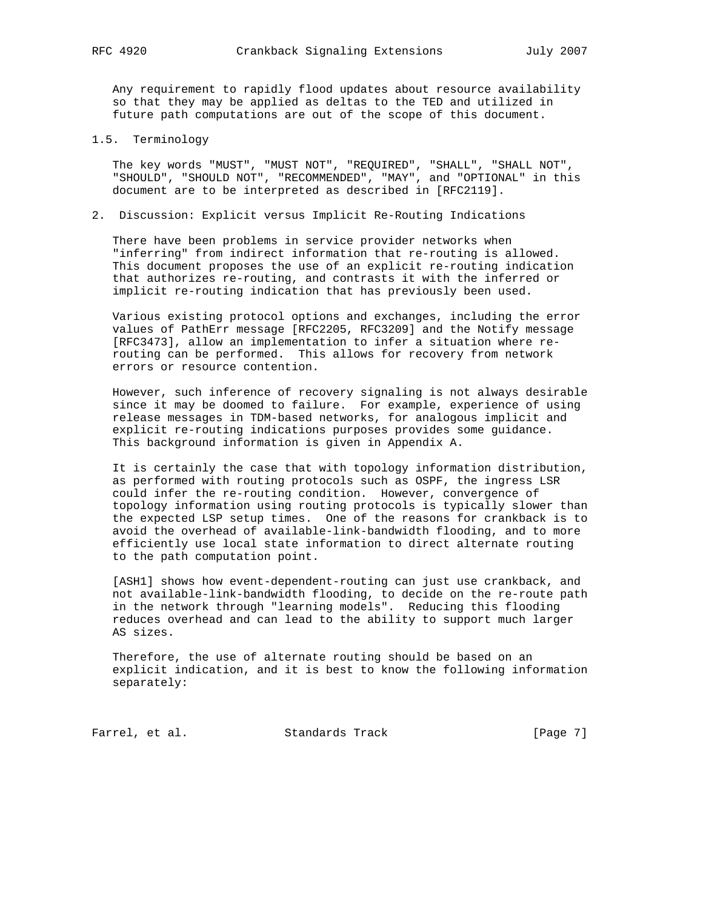Any requirement to rapidly flood updates about resource availability so that they may be applied as deltas to the TED and utilized in future path computations are out of the scope of this document.

1.5. Terminology

 The key words "MUST", "MUST NOT", "REQUIRED", "SHALL", "SHALL NOT", "SHOULD", "SHOULD NOT", "RECOMMENDED", "MAY", and "OPTIONAL" in this document are to be interpreted as described in [RFC2119].

2. Discussion: Explicit versus Implicit Re-Routing Indications

 There have been problems in service provider networks when "inferring" from indirect information that re-routing is allowed. This document proposes the use of an explicit re-routing indication that authorizes re-routing, and contrasts it with the inferred or implicit re-routing indication that has previously been used.

 Various existing protocol options and exchanges, including the error values of PathErr message [RFC2205, RFC3209] and the Notify message [RFC3473], allow an implementation to infer a situation where re routing can be performed. This allows for recovery from network errors or resource contention.

 However, such inference of recovery signaling is not always desirable since it may be doomed to failure. For example, experience of using release messages in TDM-based networks, for analogous implicit and explicit re-routing indications purposes provides some guidance. This background information is given in Appendix A.

 It is certainly the case that with topology information distribution, as performed with routing protocols such as OSPF, the ingress LSR could infer the re-routing condition. However, convergence of topology information using routing protocols is typically slower than the expected LSP setup times. One of the reasons for crankback is to avoid the overhead of available-link-bandwidth flooding, and to more efficiently use local state information to direct alternate routing to the path computation point.

 [ASH1] shows how event-dependent-routing can just use crankback, and not available-link-bandwidth flooding, to decide on the re-route path in the network through "learning models". Reducing this flooding reduces overhead and can lead to the ability to support much larger AS sizes.

 Therefore, the use of alternate routing should be based on an explicit indication, and it is best to know the following information separately:

Farrel, et al. Standards Track [Page 7]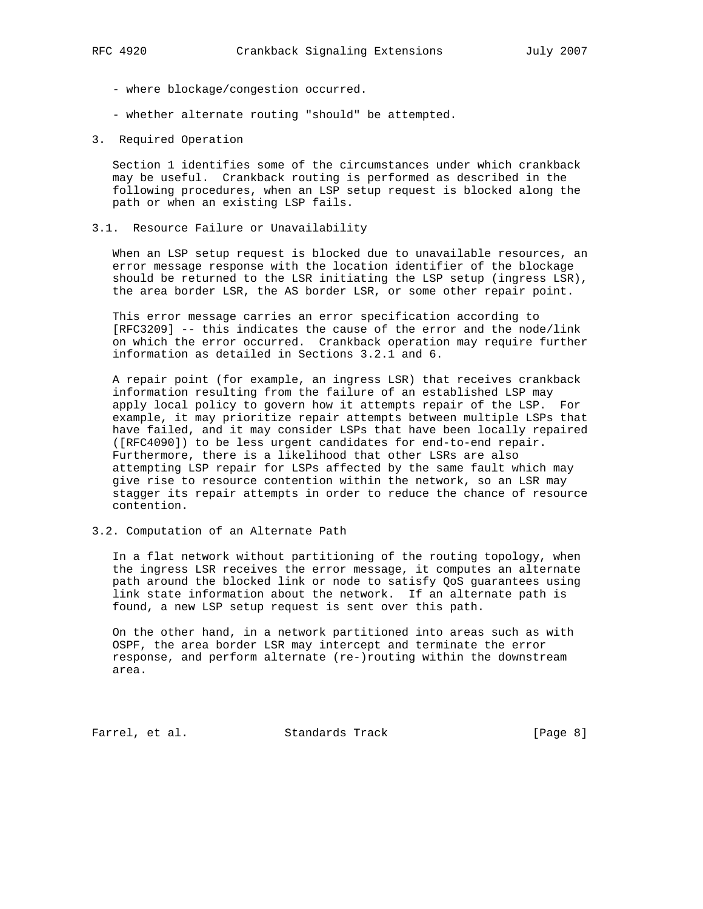- where blockage/congestion occurred.
- whether alternate routing "should" be attempted.
- 3. Required Operation

 Section 1 identifies some of the circumstances under which crankback may be useful. Crankback routing is performed as described in the following procedures, when an LSP setup request is blocked along the path or when an existing LSP fails.

3.1. Resource Failure or Unavailability

 When an LSP setup request is blocked due to unavailable resources, an error message response with the location identifier of the blockage should be returned to the LSR initiating the LSP setup (ingress LSR), the area border LSR, the AS border LSR, or some other repair point.

 This error message carries an error specification according to [RFC3209] -- this indicates the cause of the error and the node/link on which the error occurred. Crankback operation may require further information as detailed in Sections 3.2.1 and 6.

 A repair point (for example, an ingress LSR) that receives crankback information resulting from the failure of an established LSP may apply local policy to govern how it attempts repair of the LSP. For example, it may prioritize repair attempts between multiple LSPs that have failed, and it may consider LSPs that have been locally repaired ([RFC4090]) to be less urgent candidates for end-to-end repair. Furthermore, there is a likelihood that other LSRs are also attempting LSP repair for LSPs affected by the same fault which may give rise to resource contention within the network, so an LSR may stagger its repair attempts in order to reduce the chance of resource contention.

3.2. Computation of an Alternate Path

 In a flat network without partitioning of the routing topology, when the ingress LSR receives the error message, it computes an alternate path around the blocked link or node to satisfy QoS guarantees using link state information about the network. If an alternate path is found, a new LSP setup request is sent over this path.

 On the other hand, in a network partitioned into areas such as with OSPF, the area border LSR may intercept and terminate the error response, and perform alternate (re-)routing within the downstream area.

Farrel, et al. Standards Track [Page 8]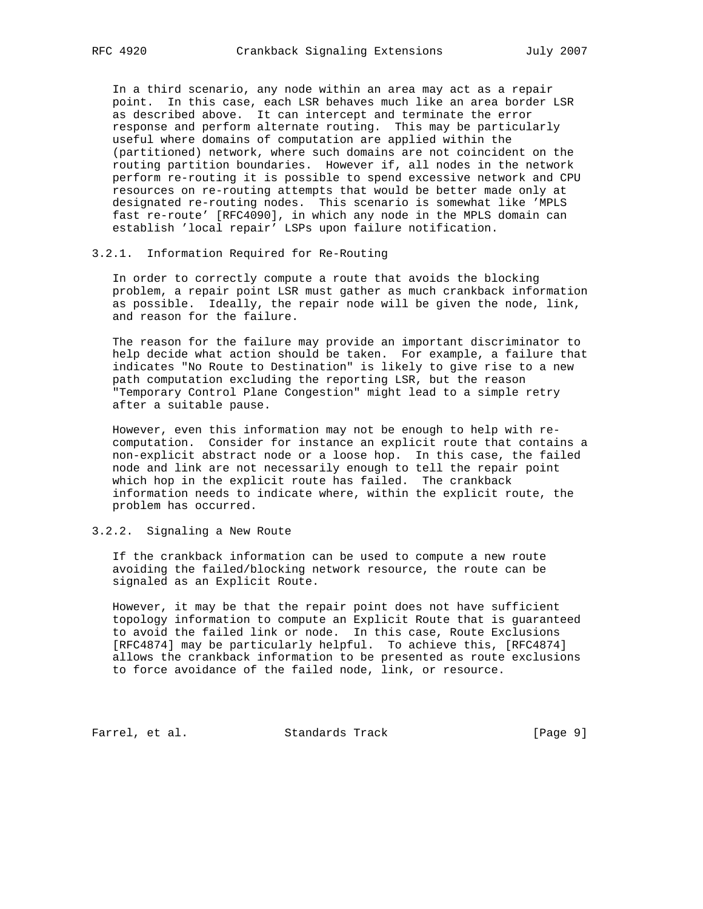In a third scenario, any node within an area may act as a repair point. In this case, each LSR behaves much like an area border LSR as described above. It can intercept and terminate the error response and perform alternate routing. This may be particularly useful where domains of computation are applied within the (partitioned) network, where such domains are not coincident on the routing partition boundaries. However if, all nodes in the network perform re-routing it is possible to spend excessive network and CPU resources on re-routing attempts that would be better made only at designated re-routing nodes. This scenario is somewhat like 'MPLS fast re-route' [RFC4090], in which any node in the MPLS domain can establish 'local repair' LSPs upon failure notification.

#### 3.2.1. Information Required for Re-Routing

 In order to correctly compute a route that avoids the blocking problem, a repair point LSR must gather as much crankback information as possible. Ideally, the repair node will be given the node, link, and reason for the failure.

 The reason for the failure may provide an important discriminator to help decide what action should be taken. For example, a failure that indicates "No Route to Destination" is likely to give rise to a new path computation excluding the reporting LSR, but the reason "Temporary Control Plane Congestion" might lead to a simple retry after a suitable pause.

 However, even this information may not be enough to help with re computation. Consider for instance an explicit route that contains a non-explicit abstract node or a loose hop. In this case, the failed node and link are not necessarily enough to tell the repair point which hop in the explicit route has failed. The crankback information needs to indicate where, within the explicit route, the problem has occurred.

# 3.2.2. Signaling a New Route

 If the crankback information can be used to compute a new route avoiding the failed/blocking network resource, the route can be signaled as an Explicit Route.

 However, it may be that the repair point does not have sufficient topology information to compute an Explicit Route that is guaranteed to avoid the failed link or node. In this case, Route Exclusions [RFC4874] may be particularly helpful. To achieve this, [RFC4874] allows the crankback information to be presented as route exclusions to force avoidance of the failed node, link, or resource.

Farrel, et al. Standards Track [Page 9]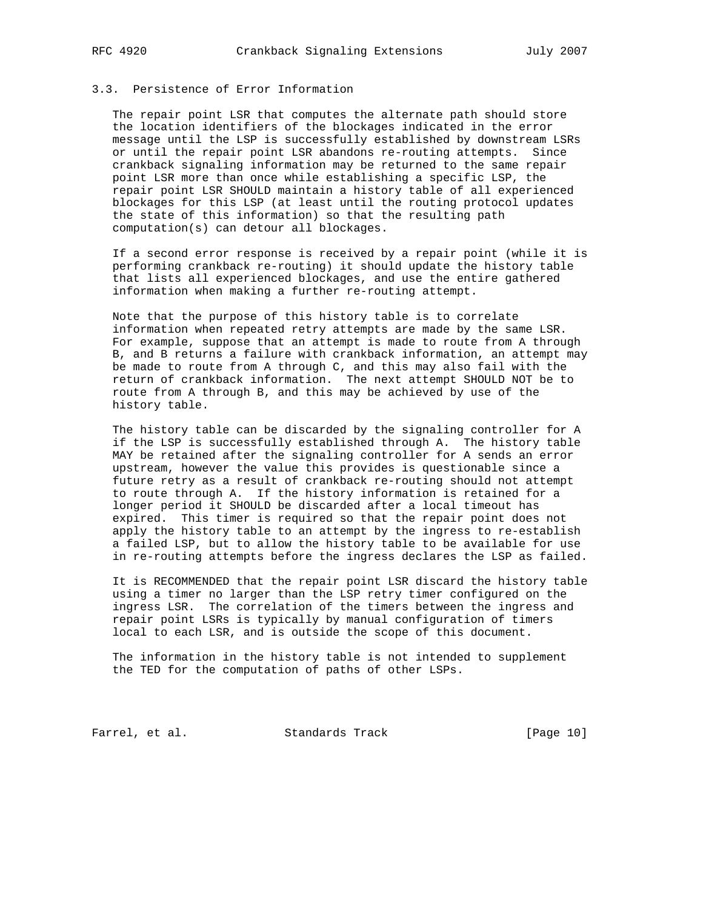# 3.3. Persistence of Error Information

 The repair point LSR that computes the alternate path should store the location identifiers of the blockages indicated in the error message until the LSP is successfully established by downstream LSRs or until the repair point LSR abandons re-routing attempts. Since crankback signaling information may be returned to the same repair point LSR more than once while establishing a specific LSP, the repair point LSR SHOULD maintain a history table of all experienced blockages for this LSP (at least until the routing protocol updates the state of this information) so that the resulting path computation(s) can detour all blockages.

 If a second error response is received by a repair point (while it is performing crankback re-routing) it should update the history table that lists all experienced blockages, and use the entire gathered information when making a further re-routing attempt.

 Note that the purpose of this history table is to correlate information when repeated retry attempts are made by the same LSR. For example, suppose that an attempt is made to route from A through B, and B returns a failure with crankback information, an attempt may be made to route from A through C, and this may also fail with the return of crankback information. The next attempt SHOULD NOT be to route from A through B, and this may be achieved by use of the history table.

 The history table can be discarded by the signaling controller for A if the LSP is successfully established through A. The history table MAY be retained after the signaling controller for A sends an error upstream, however the value this provides is questionable since a future retry as a result of crankback re-routing should not attempt to route through A. If the history information is retained for a longer period it SHOULD be discarded after a local timeout has expired. This timer is required so that the repair point does not apply the history table to an attempt by the ingress to re-establish a failed LSP, but to allow the history table to be available for use in re-routing attempts before the ingress declares the LSP as failed.

 It is RECOMMENDED that the repair point LSR discard the history table using a timer no larger than the LSP retry timer configured on the ingress LSR. The correlation of the timers between the ingress and repair point LSRs is typically by manual configuration of timers local to each LSR, and is outside the scope of this document.

 The information in the history table is not intended to supplement the TED for the computation of paths of other LSPs.

Farrel, et al. Standards Track [Page 10]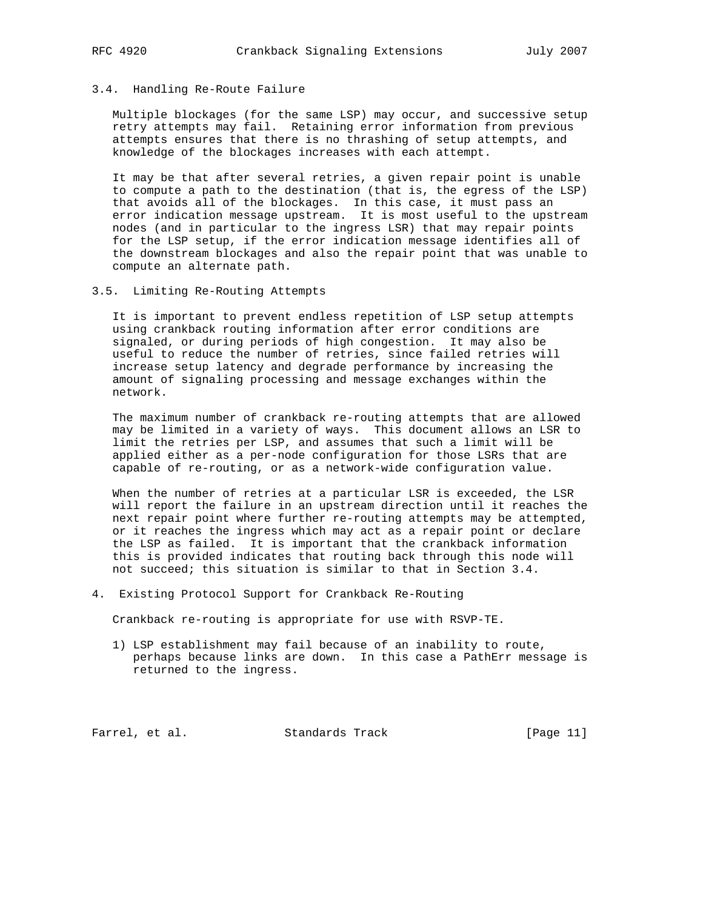# 3.4. Handling Re-Route Failure

 Multiple blockages (for the same LSP) may occur, and successive setup retry attempts may fail. Retaining error information from previous attempts ensures that there is no thrashing of setup attempts, and knowledge of the blockages increases with each attempt.

 It may be that after several retries, a given repair point is unable to compute a path to the destination (that is, the egress of the LSP) that avoids all of the blockages. In this case, it must pass an error indication message upstream. It is most useful to the upstream nodes (and in particular to the ingress LSR) that may repair points for the LSP setup, if the error indication message identifies all of the downstream blockages and also the repair point that was unable to compute an alternate path.

3.5. Limiting Re-Routing Attempts

 It is important to prevent endless repetition of LSP setup attempts using crankback routing information after error conditions are signaled, or during periods of high congestion. It may also be useful to reduce the number of retries, since failed retries will increase setup latency and degrade performance by increasing the amount of signaling processing and message exchanges within the network.

 The maximum number of crankback re-routing attempts that are allowed may be limited in a variety of ways. This document allows an LSR to limit the retries per LSP, and assumes that such a limit will be applied either as a per-node configuration for those LSRs that are capable of re-routing, or as a network-wide configuration value.

 When the number of retries at a particular LSR is exceeded, the LSR will report the failure in an upstream direction until it reaches the next repair point where further re-routing attempts may be attempted, or it reaches the ingress which may act as a repair point or declare the LSP as failed. It is important that the crankback information this is provided indicates that routing back through this node will not succeed; this situation is similar to that in Section 3.4.

4. Existing Protocol Support for Crankback Re-Routing

Crankback re-routing is appropriate for use with RSVP-TE.

 1) LSP establishment may fail because of an inability to route, perhaps because links are down. In this case a PathErr message is returned to the ingress.

Farrel, et al. Standards Track [Page 11]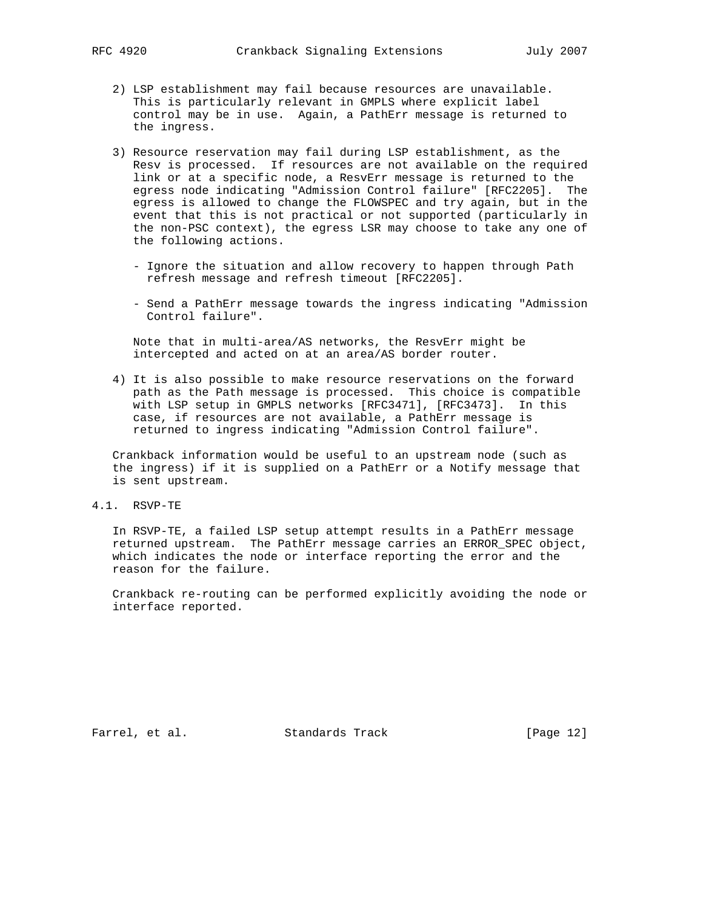- 2) LSP establishment may fail because resources are unavailable. This is particularly relevant in GMPLS where explicit label control may be in use. Again, a PathErr message is returned to the ingress.
- 3) Resource reservation may fail during LSP establishment, as the Resv is processed. If resources are not available on the required link or at a specific node, a ResvErr message is returned to the egress node indicating "Admission Control failure" [RFC2205]. The egress is allowed to change the FLOWSPEC and try again, but in the event that this is not practical or not supported (particularly in the non-PSC context), the egress LSR may choose to take any one of the following actions.
	- Ignore the situation and allow recovery to happen through Path refresh message and refresh timeout [RFC2205].
	- Send a PathErr message towards the ingress indicating "Admission Control failure".

 Note that in multi-area/AS networks, the ResvErr might be intercepted and acted on at an area/AS border router.

 4) It is also possible to make resource reservations on the forward path as the Path message is processed. This choice is compatible with LSP setup in GMPLS networks [RFC3471], [RFC3473]. In this case, if resources are not available, a PathErr message is returned to ingress indicating "Admission Control failure".

 Crankback information would be useful to an upstream node (such as the ingress) if it is supplied on a PathErr or a Notify message that is sent upstream.

4.1. RSVP-TE

 In RSVP-TE, a failed LSP setup attempt results in a PathErr message returned upstream. The PathErr message carries an ERROR\_SPEC object, which indicates the node or interface reporting the error and the reason for the failure.

 Crankback re-routing can be performed explicitly avoiding the node or interface reported.

Farrel, et al. Standards Track [Page 12]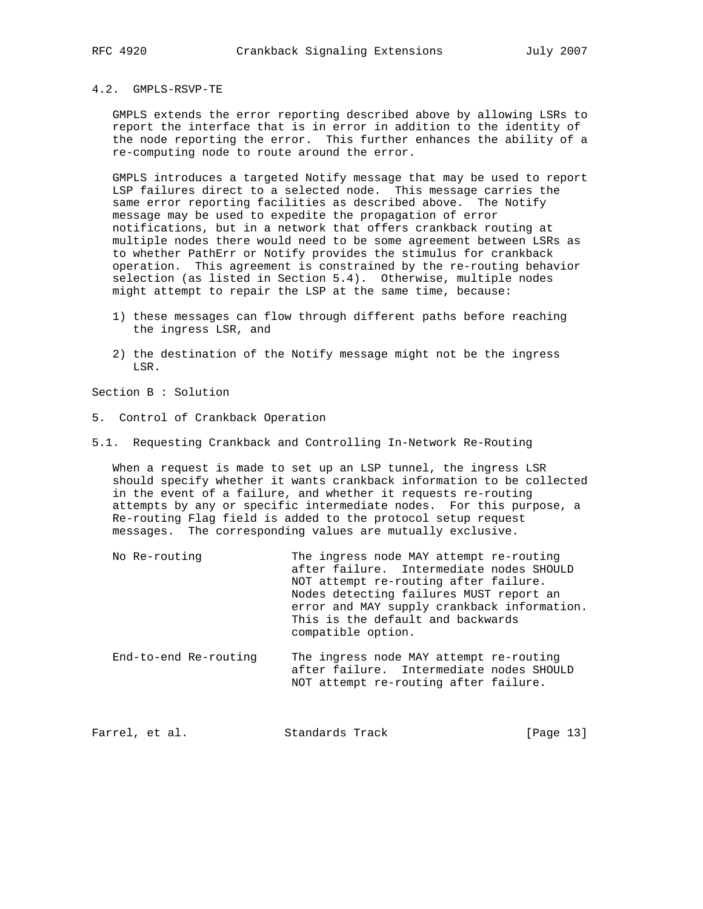# 4.2. GMPLS-RSVP-TE

 GMPLS extends the error reporting described above by allowing LSRs to report the interface that is in error in addition to the identity of the node reporting the error. This further enhances the ability of a re-computing node to route around the error.

 GMPLS introduces a targeted Notify message that may be used to report LSP failures direct to a selected node. This message carries the same error reporting facilities as described above. The Notify message may be used to expedite the propagation of error notifications, but in a network that offers crankback routing at multiple nodes there would need to be some agreement between LSRs as to whether PathErr or Notify provides the stimulus for crankback operation. This agreement is constrained by the re-routing behavior selection (as listed in Section 5.4). Otherwise, multiple nodes might attempt to repair the LSP at the same time, because:

- 1) these messages can flow through different paths before reaching the ingress LSR, and
- 2) the destination of the Notify message might not be the ingress LSR.

Section B : Solution

- 5. Control of Crankback Operation
- 5.1. Requesting Crankback and Controlling In-Network Re-Routing

 When a request is made to set up an LSP tunnel, the ingress LSR should specify whether it wants crankback information to be collected in the event of a failure, and whether it requests re-routing attempts by any or specific intermediate nodes. For this purpose, a Re-routing Flag field is added to the protocol setup request messages. The corresponding values are mutually exclusive.

- No Re-routing The ingress node MAY attempt re-routing after failure. Intermediate nodes SHOULD NOT attempt re-routing after failure. Nodes detecting failures MUST report an error and MAY supply crankback information. This is the default and backwards compatible option.
- End-to-end Re-routing The ingress node MAY attempt re-routing after failure. Intermediate nodes SHOULD NOT attempt re-routing after failure.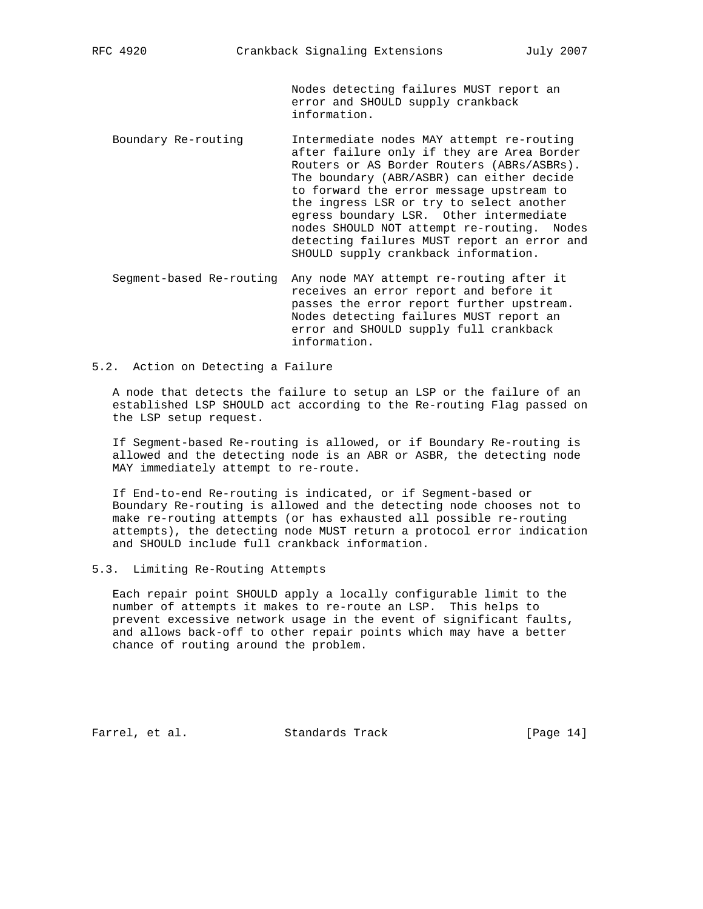Nodes detecting failures MUST report an error and SHOULD supply crankback information.

- Boundary Re-routing Intermediate nodes MAY attempt re-routing after failure only if they are Area Border Routers or AS Border Routers (ABRs/ASBRs). The boundary (ABR/ASBR) can either decide to forward the error message upstream to the ingress LSR or try to select another egress boundary LSR. Other intermediate nodes SHOULD NOT attempt re-routing. Nodes detecting failures MUST report an error and SHOULD supply crankback information.
- Segment-based Re-routing Any node MAY attempt re-routing after it receives an error report and before it passes the error report further upstream. Nodes detecting failures MUST report an error and SHOULD supply full crankback information.
- 5.2. Action on Detecting a Failure

 A node that detects the failure to setup an LSP or the failure of an established LSP SHOULD act according to the Re-routing Flag passed on the LSP setup request.

 If Segment-based Re-routing is allowed, or if Boundary Re-routing is allowed and the detecting node is an ABR or ASBR, the detecting node MAY immediately attempt to re-route.

 If End-to-end Re-routing is indicated, or if Segment-based or Boundary Re-routing is allowed and the detecting node chooses not to make re-routing attempts (or has exhausted all possible re-routing attempts), the detecting node MUST return a protocol error indication and SHOULD include full crankback information.

5.3. Limiting Re-Routing Attempts

 Each repair point SHOULD apply a locally configurable limit to the number of attempts it makes to re-route an LSP. This helps to prevent excessive network usage in the event of significant faults, and allows back-off to other repair points which may have a better chance of routing around the problem.

Farrel, et al. Standards Track [Page 14]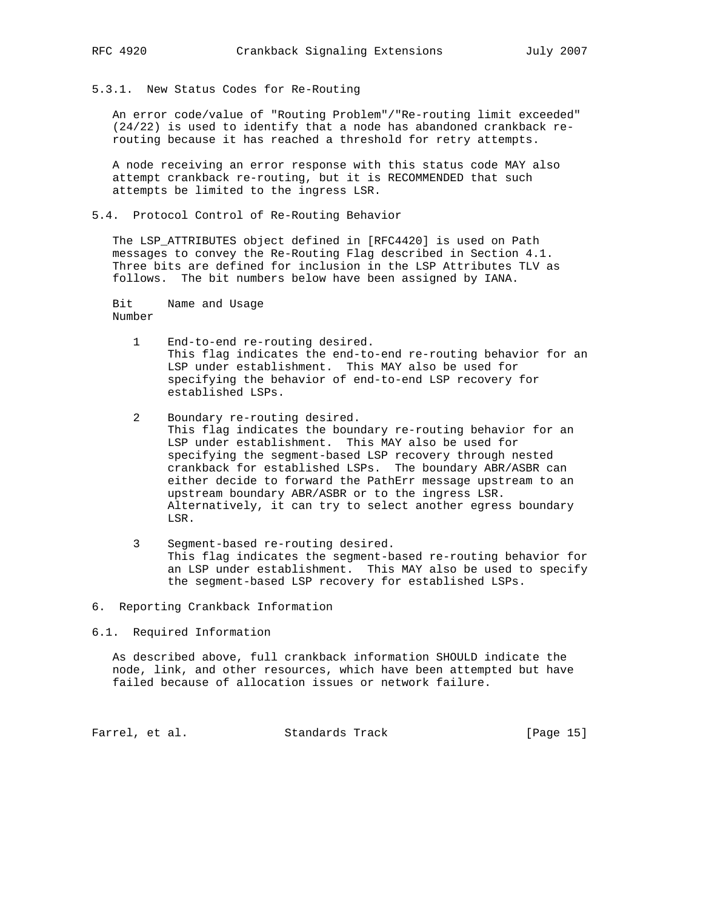5.3.1. New Status Codes for Re-Routing

 An error code/value of "Routing Problem"/"Re-routing limit exceeded" (24/22) is used to identify that a node has abandoned crankback re routing because it has reached a threshold for retry attempts.

 A node receiving an error response with this status code MAY also attempt crankback re-routing, but it is RECOMMENDED that such attempts be limited to the ingress LSR.

5.4. Protocol Control of Re-Routing Behavior

 The LSP\_ATTRIBUTES object defined in [RFC4420] is used on Path messages to convey the Re-Routing Flag described in Section 4.1. Three bits are defined for inclusion in the LSP Attributes TLV as follows. The bit numbers below have been assigned by IANA.

 Bit Name and Usage Number

- 1 End-to-end re-routing desired. This flag indicates the end-to-end re-routing behavior for an LSP under establishment. This MAY also be used for specifying the behavior of end-to-end LSP recovery for established LSPs.
- 2 Boundary re-routing desired. This flag indicates the boundary re-routing behavior for an LSP under establishment. This MAY also be used for specifying the segment-based LSP recovery through nested crankback for established LSPs. The boundary ABR/ASBR can either decide to forward the PathErr message upstream to an upstream boundary ABR/ASBR or to the ingress LSR. Alternatively, it can try to select another egress boundary LSR.
- 3 Segment-based re-routing desired. This flag indicates the segment-based re-routing behavior for an LSP under establishment. This MAY also be used to specify the segment-based LSP recovery for established LSPs.
- 6. Reporting Crankback Information
- 6.1. Required Information

 As described above, full crankback information SHOULD indicate the node, link, and other resources, which have been attempted but have failed because of allocation issues or network failure.

Farrel, et al. Standards Track [Page 15]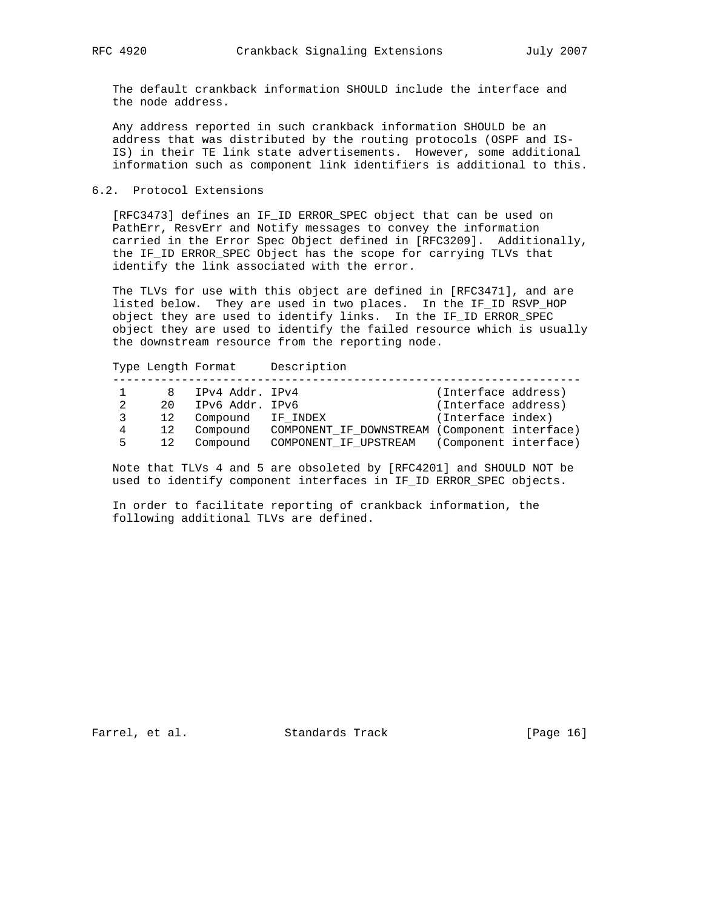The default crankback information SHOULD include the interface and the node address.

 Any address reported in such crankback information SHOULD be an address that was distributed by the routing protocols (OSPF and IS- IS) in their TE link state advertisements. However, some additional information such as component link identifiers is additional to this.

# 6.2. Protocol Extensions

 [RFC3473] defines an IF\_ID ERROR\_SPEC object that can be used on PathErr, ResvErr and Notify messages to convey the information carried in the Error Spec Object defined in [RFC3209]. Additionally, the IF\_ID ERROR\_SPEC Object has the scope for carrying TLVs that identify the link associated with the error.

 The TLVs for use with this object are defined in [RFC3471], and are listed below. They are used in two places. In the IF\_ID RSVP\_HOP object they are used to identify links. In the IF\_ID ERROR\_SPEC object they are used to identify the failed resource which is usually the downstream resource from the reporting node.

 Type Length Format Description -------------------------------------------------------------------- 1 8 IPv4 Addr. IPv4 (Interface address) 2 20 IPv6 Addr. IPv6 (Interface address) 3 12 Compound IF\_INDEX (Interface index) 4 12 Compound COMPONENT\_IF\_DOWNSTREAM (Component interface) 5 12 Compound COMPONENT\_IF\_UPSTREAM (Component interface)

 Note that TLVs 4 and 5 are obsoleted by [RFC4201] and SHOULD NOT be used to identify component interfaces in IF\_ID ERROR\_SPEC objects.

 In order to facilitate reporting of crankback information, the following additional TLVs are defined.

Farrel, et al. Standards Track [Page 16]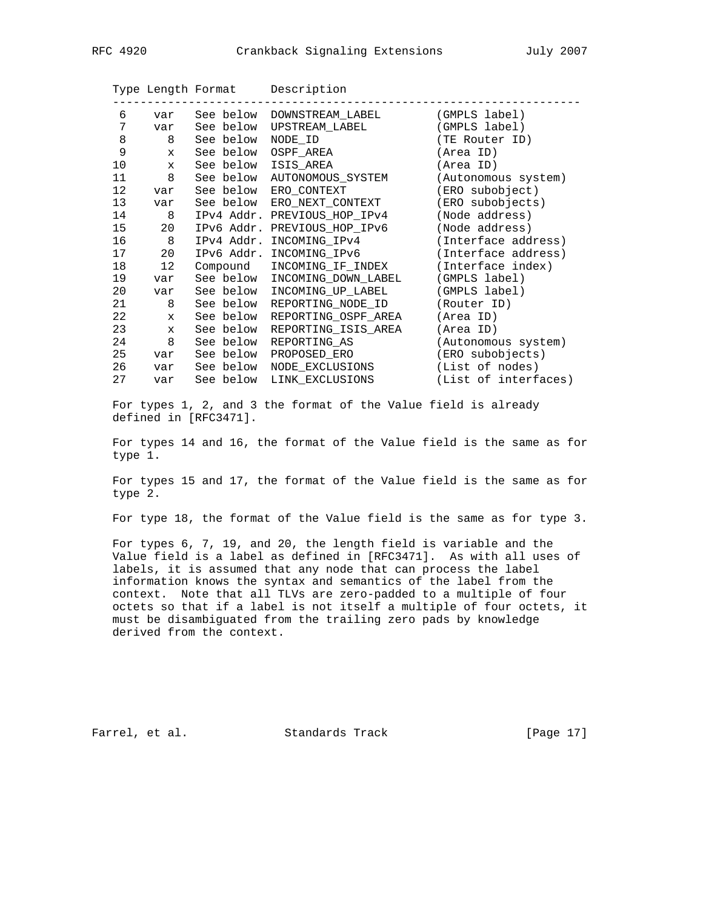|                 |              |                     | Type Length Format Description |                      |
|-----------------|--------------|---------------------|--------------------------------|----------------------|
| 6               | var          |                     | See below DOWNSTREAM LABEL     | (GMPLS label)        |
| 7               | var          |                     | See below UPSTREAM LABEL       | (GMPLS label)        |
| 8               | 8            | See below           | NODE ID                        | (TE Router ID)       |
| 9               | X            |                     | See below OSPF AREA            | (Area ID)            |
| 10              | $\mathbf x$  | See below ISIS AREA |                                | (Area ID)            |
| 11              | 8            |                     | See below AUTONOMOUS_SYSTEM    | (Autonomous system)  |
| 12 <sup>°</sup> | var          |                     | See below ERO CONTEXT          | (ERO subobject)      |
| 13              | var          |                     | See below ERO NEXT CONTEXT     | (ERO subobjects)     |
| 14              | 8            |                     | IPv4 Addr. PREVIOUS HOP IPv4   | (Node address)       |
| 15              | 20           |                     | IPv6 Addr. PREVIOUS_HOP_IPv6   | (Node address)       |
| 16              | 8            | IPv4 Addr.          | INCOMING IPv4                  | (Interface address)  |
| 17              | 20           |                     | IPv6 Addr. INCOMING_IPv6       | (Interface address)  |
| 18              | $12 \,$      | Compound            | INCOMING IF INDEX              | (Interface index)    |
| 19              | var          | See below           | INCOMING DOWN LABEL            | (GMPLS label)        |
| 20              | var          | See below           | INCOMING UP LABEL              | (GMPLS label)        |
| 21              | 8            | See below           | REPORTING_NODE_ID              | (Router ID)          |
| 22              | $\mathbf{x}$ | See below           | REPORTING OSPF AREA            | (Area ID)            |
| 23              | X            | See below           | REPORTING ISIS AREA            | (Area ID)            |
| 24              | 8            | See below           | REPORTING AS                   | (Autonomous system)  |
| 25              | var          |                     | See below PROPOSED_ERO         | (ERO subobjects)     |
| 26              | var          |                     | See below NODE EXCLUSIONS      | (List of nodes)      |
| 27              | var          |                     | See below LINK EXCLUSIONS      | (List of interfaces) |

 For types 1, 2, and 3 the format of the Value field is already defined in [RFC3471].

 For types 14 and 16, the format of the Value field is the same as for type 1.

 For types 15 and 17, the format of the Value field is the same as for type 2.

For type 18, the format of the Value field is the same as for type 3.

 For types 6, 7, 19, and 20, the length field is variable and the Value field is a label as defined in [RFC3471]. As with all uses of labels, it is assumed that any node that can process the label information knows the syntax and semantics of the label from the context. Note that all TLVs are zero-padded to a multiple of four octets so that if a label is not itself a multiple of four octets, it must be disambiguated from the trailing zero pads by knowledge derived from the context.

Farrel, et al. Standards Track [Page 17]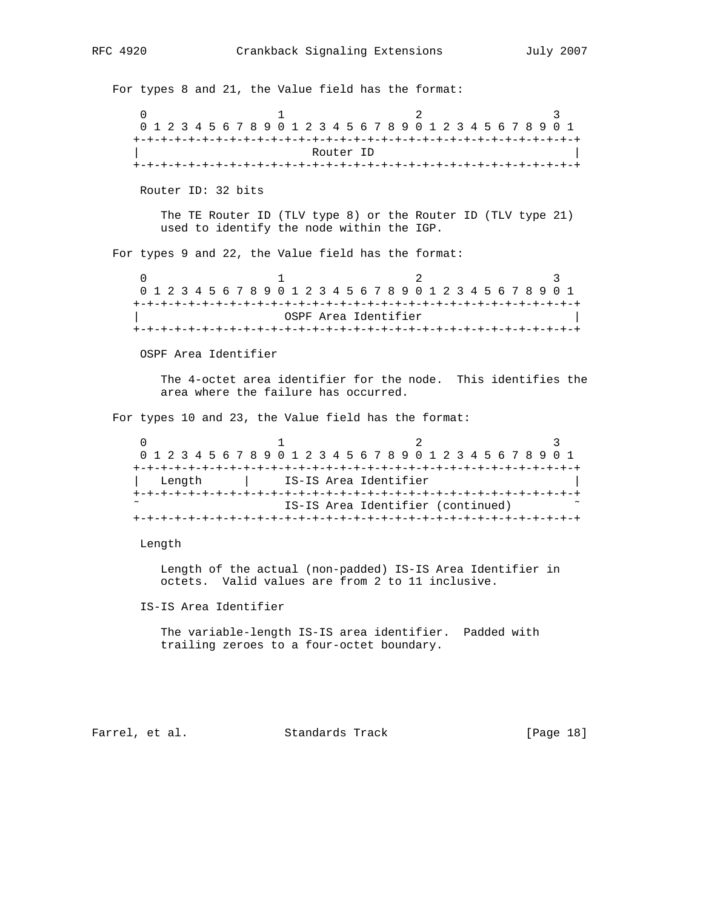For types 8 and 21, the Value field has the format: 0  $1$  2 3 0 1 2 3 4 5 6 7 8 9 0 1 2 3 4 5 6 7 8 9 0 1 2 3 4 5 6 7 8 9 0 1 +-+-+-+-+-+-+-+-+-+-+-+-+-+-+-+-+-+-+-+-+-+-+-+-+-+-+-+-+-+-+-+-+ Router ID +-+-+-+-+-+-+-+-+-+-+-+-+-+-+-+-+-+-+-+-+-+-+-+-+-+-+-+-+-+-+-+-+ Router ID: 32 bits The TE Router ID (TLV type 8) or the Router ID (TLV type 21) used to identify the node within the IGP. For types 9 and 22, the Value field has the format:  $0$  1 2 3 0 1 2 3 4 5 6 7 8 9 0 1 2 3 4 5 6 7 8 9 0 1 2 3 4 5 6 7 8 9 0 1 +-+-+-+-+-+-+-+-+-+-+-+-+-+-+-+-+-+-+-+-+-+-+-+-+-+-+-+-+-+-+-+-+ | OSPF Area Identifier | +-+-+-+-+-+-+-+-+-+-+-+-+-+-+-+-+-+-+-+-+-+-+-+-+-+-+-+-+-+-+-+-+ OSPF Area Identifier The 4-octet area identifier for the node. This identifies the area where the failure has occurred. For types 10 and 23, the Value field has the format:  $0$  1 2 3 0 1 2 3 4 5 6 7 8 9 0 1 2 3 4 5 6 7 8 9 0 1 2 3 4 5 6 7 8 9 0 1 +-+-+-+-+-+-+-+-+-+-+-+-+-+-+-+-+-+-+-+-+-+-+-+-+-+-+-+-+-+-+-+-+ | Length | IS-IS Area Identifier | +-+-+-+-+-+-+-+-+-+-+-+-+-+-+-+-+-+-+-+-+-+-+-+-+-+-+-+-+-+-+-+-+ IS-IS Area Identifier (continued) +-+-+-+-+-+-+-+-+-+-+-+-+-+-+-+-+-+-+-+-+-+-+-+-+-+-+-+-+-+-+-+-+ Length Length of the actual (non-padded) IS-IS Area Identifier in octets. Valid values are from 2 to 11 inclusive. IS-IS Area Identifier The variable-length IS-IS area identifier. Padded with trailing zeroes to a four-octet boundary. Farrel, et al. Standards Track [Page 18]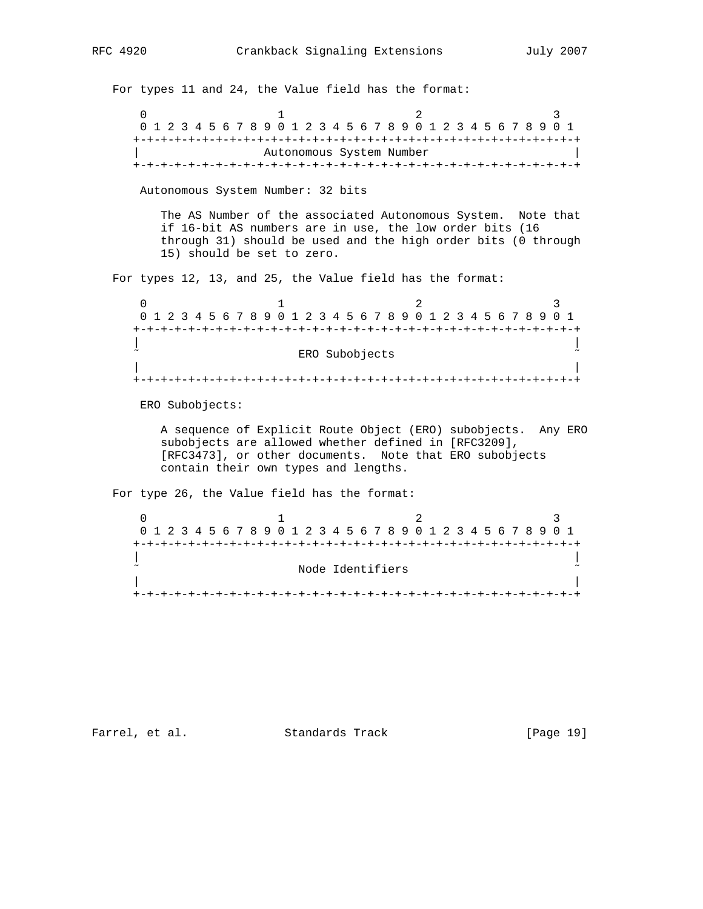For types 11 and 24, the Value field has the format: 0  $1$  2 3 0 1 2 3 4 5 6 7 8 9 0 1 2 3 4 5 6 7 8 9 0 1 2 3 4 5 6 7 8 9 0 1 +-+-+-+-+-+-+-+-+-+-+-+-+-+-+-+-+-+-+-+-+-+-+-+-+-+-+-+-+-+-+-+-+ Autonomous System Number +-+-+-+-+-+-+-+-+-+-+-+-+-+-+-+-+-+-+-+-+-+-+-+-+-+-+-+-+-+-+-+-+ Autonomous System Number: 32 bits The AS Number of the associated Autonomous System. Note that if 16-bit AS numbers are in use, the low order bits (16 through 31) should be used and the high order bits (0 through 15) should be set to zero. For types 12, 13, and 25, the Value field has the format: 0  $1$  2 3 0 1 2 3 4 5 6 7 8 9 0 1 2 3 4 5 6 7 8 9 0 1 2 3 4 5 6 7 8 9 0 1 +-+-+-+-+-+-+-+-+-+-+-+-+-+-+-+-+-+-+-+-+-+-+-+-+-+-+-+-+-+-+-+-+ | | ERO Subobjects | | +-+-+-+-+-+-+-+-+-+-+-+-+-+-+-+-+-+-+-+-+-+-+-+-+-+-+-+-+-+-+-+-+ ERO Subobjects: A sequence of Explicit Route Object (ERO) subobjects. Any ERO subobjects are allowed whether defined in [RFC3209], [RFC3473], or other documents. Note that ERO subobjects contain their own types and lengths. For type 26, the Value field has the format:  $0$  1 2 3 0 1 2 3 4 5 6 7 8 9 0 1 2 3 4 5 6 7 8 9 0 1 2 3 4 5 6 7 8 9 0 1 +-+-+-+-+-+-+-+-+-+-+-+-+-+-+-+-+-+-+-+-+-+-+-+-+-+-+-+-+-+-+-+-+ | | Node Identifiers | | +-+-+-+-+-+-+-+-+-+-+-+-+-+-+-+-+-+-+-+-+-+-+-+-+-+-+-+-+-+-+-+-+

Farrel, et al. Standards Track [Page 19]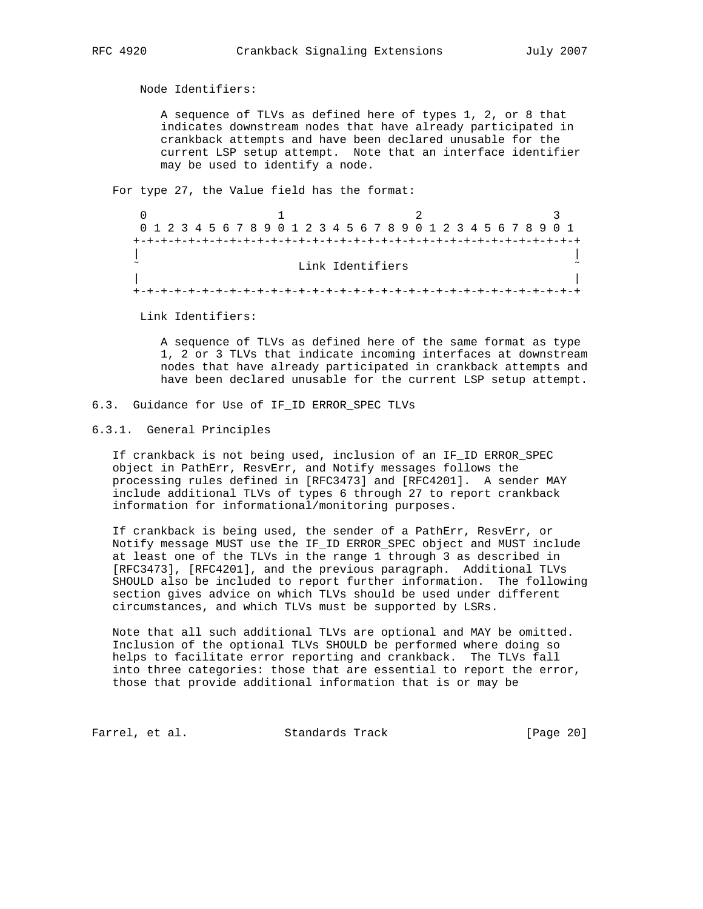Node Identifiers:

 A sequence of TLVs as defined here of types 1, 2, or 8 that indicates downstream nodes that have already participated in crankback attempts and have been declared unusable for the current LSP setup attempt. Note that an interface identifier may be used to identify a node.

For type 27, the Value field has the format:

|        |  |  |  | 0 1 2 3 4 5 6 7 8 9 0 1 2 3 4 5 6 7 8 9 0 1 2 3 4 5 6 7 8 9 0 1 |  |                  |  |  |  |  |  |  |  |  |  |  |
|--------|--|--|--|-----------------------------------------------------------------|--|------------------|--|--|--|--|--|--|--|--|--|--|
|        |  |  |  |                                                                 |  |                  |  |  |  |  |  |  |  |  |  |  |
|        |  |  |  |                                                                 |  |                  |  |  |  |  |  |  |  |  |  |  |
| $\sim$ |  |  |  |                                                                 |  | Link Identifiers |  |  |  |  |  |  |  |  |  |  |
|        |  |  |  |                                                                 |  |                  |  |  |  |  |  |  |  |  |  |  |
|        |  |  |  |                                                                 |  |                  |  |  |  |  |  |  |  |  |  |  |

Link Identifiers:

 A sequence of TLVs as defined here of the same format as type 1, 2 or 3 TLVs that indicate incoming interfaces at downstream nodes that have already participated in crankback attempts and have been declared unusable for the current LSP setup attempt.

## 6.3. Guidance for Use of IF\_ID ERROR\_SPEC TLVs

### 6.3.1. General Principles

 If crankback is not being used, inclusion of an IF\_ID ERROR\_SPEC object in PathErr, ResvErr, and Notify messages follows the processing rules defined in [RFC3473] and [RFC4201]. A sender MAY include additional TLVs of types 6 through 27 to report crankback information for informational/monitoring purposes.

 If crankback is being used, the sender of a PathErr, ResvErr, or Notify message MUST use the IF\_ID ERROR\_SPEC object and MUST include at least one of the TLVs in the range 1 through 3 as described in [RFC3473], [RFC4201], and the previous paragraph. Additional TLVs SHOULD also be included to report further information. The following section gives advice on which TLVs should be used under different circumstances, and which TLVs must be supported by LSRs.

 Note that all such additional TLVs are optional and MAY be omitted. Inclusion of the optional TLVs SHOULD be performed where doing so helps to facilitate error reporting and crankback. The TLVs fall into three categories: those that are essential to report the error, those that provide additional information that is or may be

Farrel, et al. Standards Track [Page 20]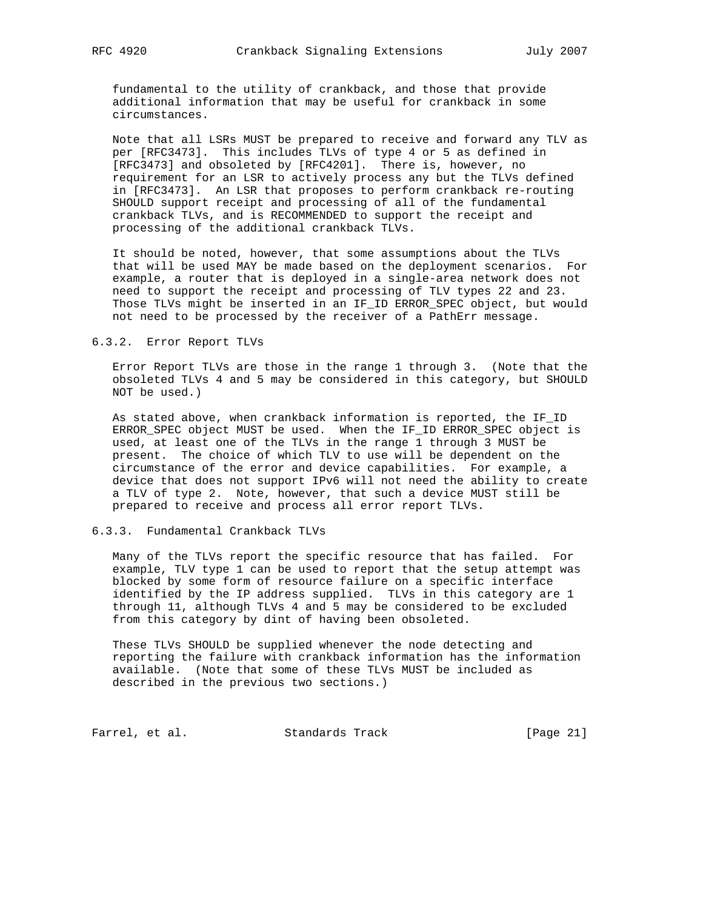fundamental to the utility of crankback, and those that provide additional information that may be useful for crankback in some circumstances.

 Note that all LSRs MUST be prepared to receive and forward any TLV as per [RFC3473]. This includes TLVs of type 4 or 5 as defined in [RFC3473] and obsoleted by [RFC4201]. There is, however, no requirement for an LSR to actively process any but the TLVs defined in [RFC3473]. An LSR that proposes to perform crankback re-routing SHOULD support receipt and processing of all of the fundamental crankback TLVs, and is RECOMMENDED to support the receipt and processing of the additional crankback TLVs.

 It should be noted, however, that some assumptions about the TLVs that will be used MAY be made based on the deployment scenarios. For example, a router that is deployed in a single-area network does not need to support the receipt and processing of TLV types 22 and 23. Those TLVs might be inserted in an IF\_ID ERROR\_SPEC object, but would not need to be processed by the receiver of a PathErr message.

#### 6.3.2. Error Report TLVs

 Error Report TLVs are those in the range 1 through 3. (Note that the obsoleted TLVs 4 and 5 may be considered in this category, but SHOULD NOT be used.)

 As stated above, when crankback information is reported, the IF\_ID ERROR\_SPEC object MUST be used. When the IF\_ID ERROR\_SPEC object is used, at least one of the TLVs in the range 1 through 3 MUST be present. The choice of which TLV to use will be dependent on the circumstance of the error and device capabilities. For example, a device that does not support IPv6 will not need the ability to create a TLV of type 2. Note, however, that such a device MUST still be prepared to receive and process all error report TLVs.

# 6.3.3. Fundamental Crankback TLVs

 Many of the TLVs report the specific resource that has failed. For example, TLV type 1 can be used to report that the setup attempt was blocked by some form of resource failure on a specific interface identified by the IP address supplied. TLVs in this category are 1 through 11, although TLVs 4 and 5 may be considered to be excluded from this category by dint of having been obsoleted.

 These TLVs SHOULD be supplied whenever the node detecting and reporting the failure with crankback information has the information available. (Note that some of these TLVs MUST be included as described in the previous two sections.)

Farrel, et al. Standards Track [Page 21]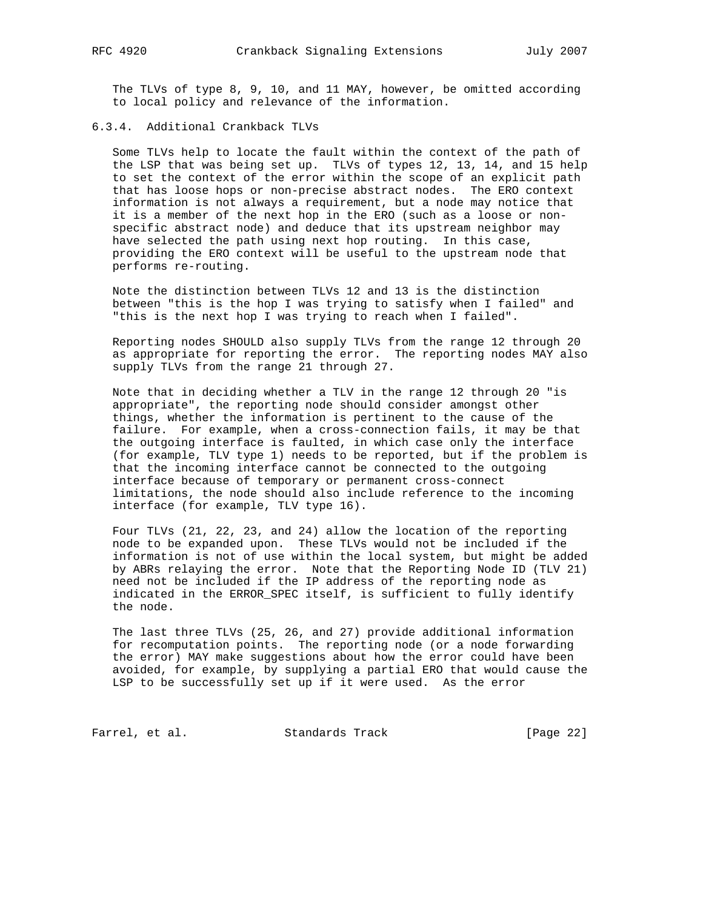The TLVs of type 8, 9, 10, and 11 MAY, however, be omitted according to local policy and relevance of the information.

6.3.4. Additional Crankback TLVs

 Some TLVs help to locate the fault within the context of the path of the LSP that was being set up. TLVs of types 12, 13, 14, and 15 help to set the context of the error within the scope of an explicit path that has loose hops or non-precise abstract nodes. The ERO context information is not always a requirement, but a node may notice that it is a member of the next hop in the ERO (such as a loose or non specific abstract node) and deduce that its upstream neighbor may have selected the path using next hop routing. In this case, providing the ERO context will be useful to the upstream node that performs re-routing.

 Note the distinction between TLVs 12 and 13 is the distinction between "this is the hop I was trying to satisfy when I failed" and "this is the next hop I was trying to reach when I failed".

 Reporting nodes SHOULD also supply TLVs from the range 12 through 20 as appropriate for reporting the error. The reporting nodes MAY also supply TLVs from the range 21 through 27.

 Note that in deciding whether a TLV in the range 12 through 20 "is appropriate", the reporting node should consider amongst other things, whether the information is pertinent to the cause of the failure. For example, when a cross-connection fails, it may be that the outgoing interface is faulted, in which case only the interface (for example, TLV type 1) needs to be reported, but if the problem is that the incoming interface cannot be connected to the outgoing interface because of temporary or permanent cross-connect limitations, the node should also include reference to the incoming interface (for example, TLV type 16).

 Four TLVs (21, 22, 23, and 24) allow the location of the reporting node to be expanded upon. These TLVs would not be included if the information is not of use within the local system, but might be added by ABRs relaying the error. Note that the Reporting Node ID (TLV 21) need not be included if the IP address of the reporting node as indicated in the ERROR\_SPEC itself, is sufficient to fully identify the node.

 The last three TLVs (25, 26, and 27) provide additional information for recomputation points. The reporting node (or a node forwarding the error) MAY make suggestions about how the error could have been avoided, for example, by supplying a partial ERO that would cause the LSP to be successfully set up if it were used. As the error

Farrel, et al. Standards Track [Page 22]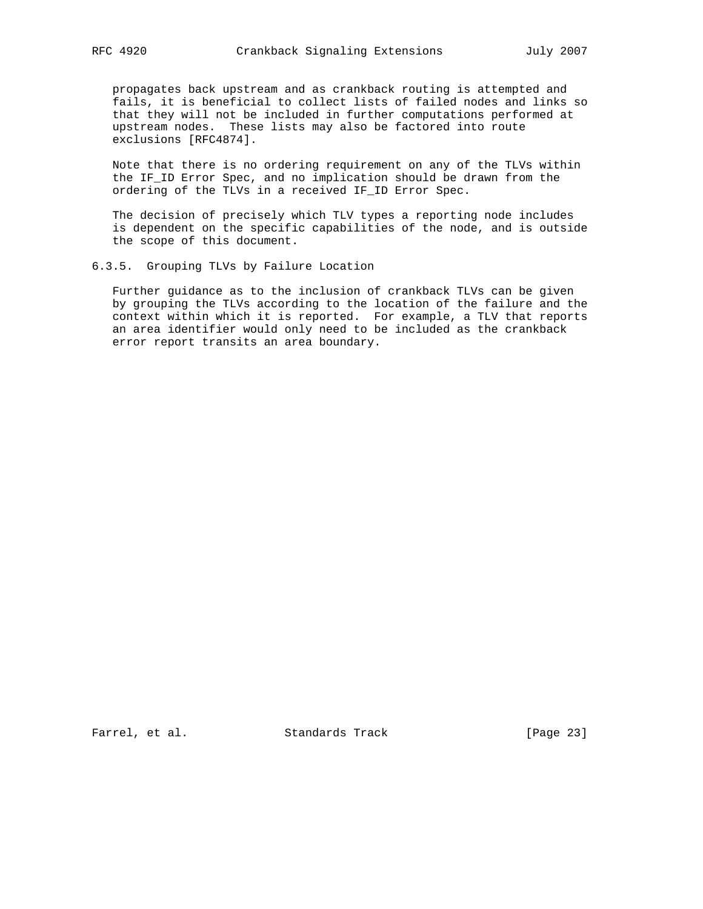propagates back upstream and as crankback routing is attempted and fails, it is beneficial to collect lists of failed nodes and links so that they will not be included in further computations performed at upstream nodes. These lists may also be factored into route exclusions [RFC4874].

 Note that there is no ordering requirement on any of the TLVs within the IF\_ID Error Spec, and no implication should be drawn from the ordering of the TLVs in a received IF\_ID Error Spec.

 The decision of precisely which TLV types a reporting node includes is dependent on the specific capabilities of the node, and is outside the scope of this document.

6.3.5. Grouping TLVs by Failure Location

 Further guidance as to the inclusion of crankback TLVs can be given by grouping the TLVs according to the location of the failure and the context within which it is reported. For example, a TLV that reports an area identifier would only need to be included as the crankback error report transits an area boundary.

Farrel, et al. Standards Track [Page 23]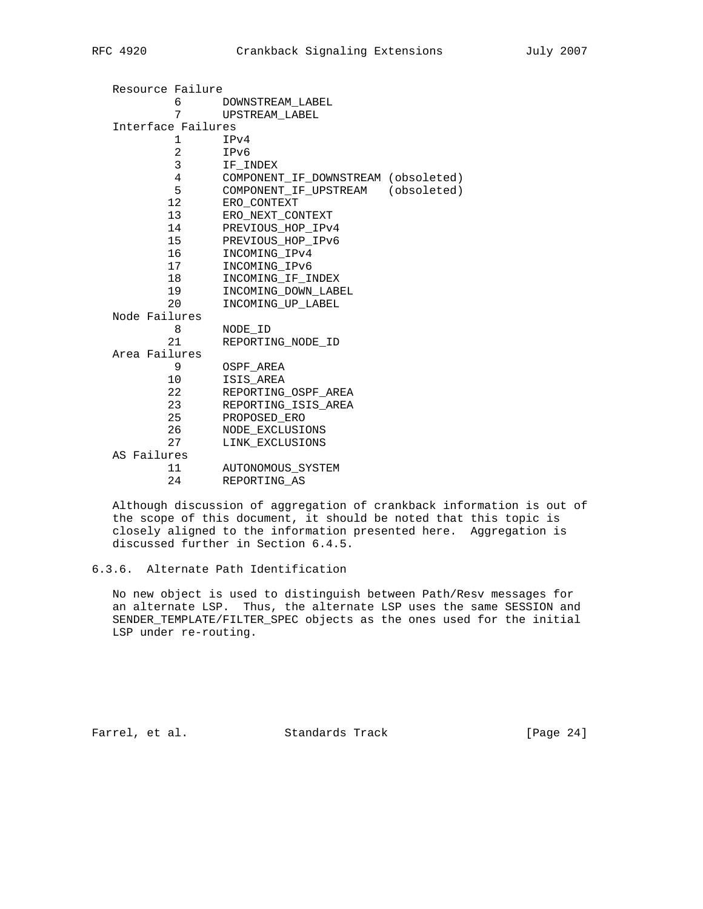| Resource Failure   |                                     |  |  |  |  |  |  |  |
|--------------------|-------------------------------------|--|--|--|--|--|--|--|
| $6 \qquad \qquad$  | DOWNSTREAM LABEL                    |  |  |  |  |  |  |  |
| 7                  | UPSTREAM LABEL                      |  |  |  |  |  |  |  |
| Interface Failures |                                     |  |  |  |  |  |  |  |
| 1                  | IPv4                                |  |  |  |  |  |  |  |
| $\mathbf{2}$       | IPv6                                |  |  |  |  |  |  |  |
| 3 <sup>7</sup>     | IF INDEX                            |  |  |  |  |  |  |  |
| $4\overline{ }$    | COMPONENT IF DOWNSTREAM (obsoleted) |  |  |  |  |  |  |  |
| 5                  | COMPONENT_IF_UPSTREAM (obsoleted)   |  |  |  |  |  |  |  |
| 12                 | ERO CONTEXT                         |  |  |  |  |  |  |  |
| 13                 | ERO NEXT CONTEXT                    |  |  |  |  |  |  |  |
| 14                 | PREVIOUS HOP IPv4                   |  |  |  |  |  |  |  |
| 15                 | PREVIOUS HOP IPv6                   |  |  |  |  |  |  |  |
| 16                 | INCOMING IPv4                       |  |  |  |  |  |  |  |
| 17                 | INCOMING_IPv6                       |  |  |  |  |  |  |  |
| 18                 | INCOMING IF INDEX                   |  |  |  |  |  |  |  |
| 19                 | INCOMING DOWN LABEL                 |  |  |  |  |  |  |  |
| 20                 | INCOMING UP LABEL                   |  |  |  |  |  |  |  |
| Node Failures      |                                     |  |  |  |  |  |  |  |
| 8                  | NODE ID                             |  |  |  |  |  |  |  |
| 21                 | REPORTING NODE ID                   |  |  |  |  |  |  |  |
| Area Failures      |                                     |  |  |  |  |  |  |  |
| 9                  | OSPF AREA                           |  |  |  |  |  |  |  |
| 10                 | ISIS AREA                           |  |  |  |  |  |  |  |
| 22                 | REPORTING OSPF AREA                 |  |  |  |  |  |  |  |
| 23                 | REPORTING ISIS AREA                 |  |  |  |  |  |  |  |
| 25                 | PROPOSED ERO                        |  |  |  |  |  |  |  |
| 26                 | NODE EXCLUSIONS                     |  |  |  |  |  |  |  |
| 27                 | LINK_EXCLUSIONS                     |  |  |  |  |  |  |  |
| AS Failures        |                                     |  |  |  |  |  |  |  |
| 11                 | AUTONOMOUS SYSTEM                   |  |  |  |  |  |  |  |
| 24                 | REPORTING AS                        |  |  |  |  |  |  |  |

 Although discussion of aggregation of crankback information is out of the scope of this document, it should be noted that this topic is closely aligned to the information presented here. Aggregation is discussed further in Section 6.4.5.

 No new object is used to distinguish between Path/Resv messages for an alternate LSP. Thus, the alternate LSP uses the same SESSION and SENDER\_TEMPLATE/FILTER\_SPEC objects as the ones used for the initial LSP under re-routing.

Farrel, et al. Standards Track [Page 24]

<sup>6.3.6.</sup> Alternate Path Identification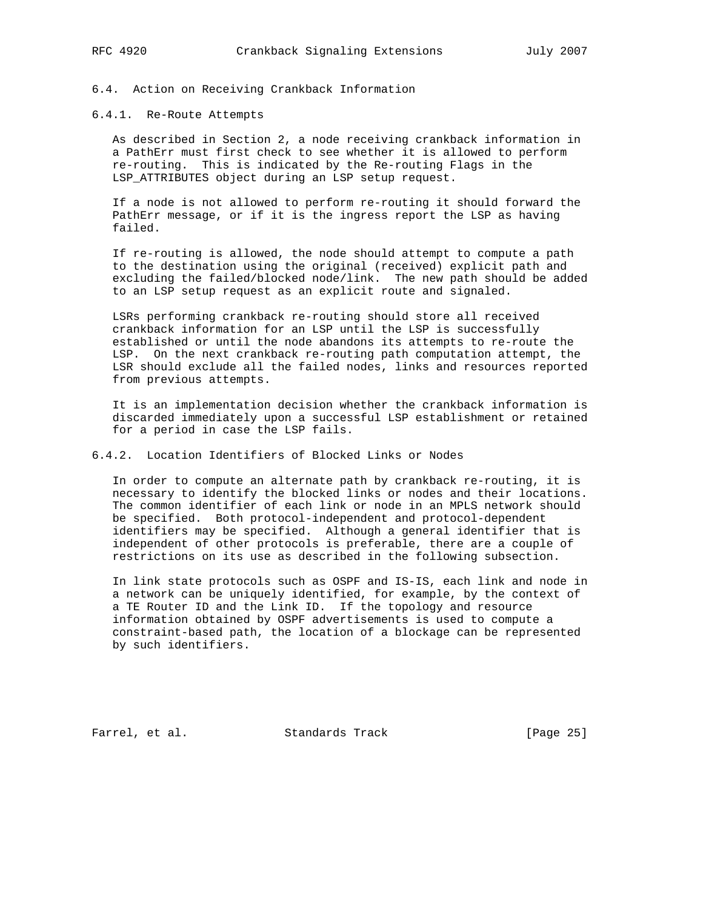# 6.4. Action on Receiving Crankback Information

## 6.4.1. Re-Route Attempts

 As described in Section 2, a node receiving crankback information in a PathErr must first check to see whether it is allowed to perform re-routing. This is indicated by the Re-routing Flags in the LSP\_ATTRIBUTES object during an LSP setup request.

 If a node is not allowed to perform re-routing it should forward the PathErr message, or if it is the ingress report the LSP as having failed.

 If re-routing is allowed, the node should attempt to compute a path to the destination using the original (received) explicit path and excluding the failed/blocked node/link. The new path should be added to an LSP setup request as an explicit route and signaled.

 LSRs performing crankback re-routing should store all received crankback information for an LSP until the LSP is successfully established or until the node abandons its attempts to re-route the LSP. On the next crankback re-routing path computation attempt, the LSR should exclude all the failed nodes, links and resources reported from previous attempts.

 It is an implementation decision whether the crankback information is discarded immediately upon a successful LSP establishment or retained for a period in case the LSP fails.

6.4.2. Location Identifiers of Blocked Links or Nodes

 In order to compute an alternate path by crankback re-routing, it is necessary to identify the blocked links or nodes and their locations. The common identifier of each link or node in an MPLS network should be specified. Both protocol-independent and protocol-dependent identifiers may be specified. Although a general identifier that is independent of other protocols is preferable, there are a couple of restrictions on its use as described in the following subsection.

 In link state protocols such as OSPF and IS-IS, each link and node in a network can be uniquely identified, for example, by the context of a TE Router ID and the Link ID. If the topology and resource information obtained by OSPF advertisements is used to compute a constraint-based path, the location of a blockage can be represented by such identifiers.

Farrel, et al. Standards Track [Page 25]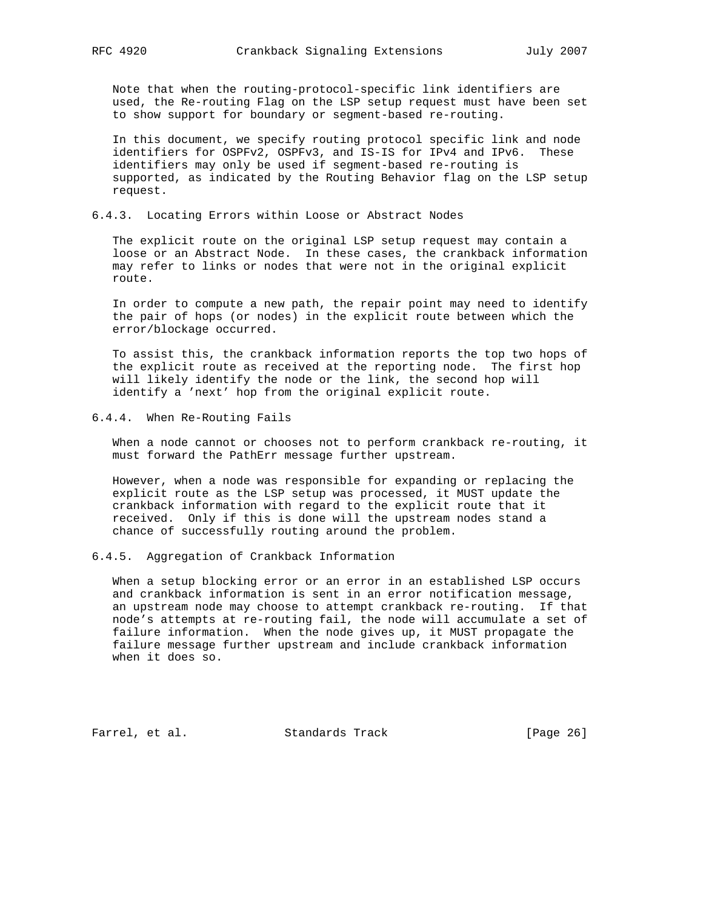Note that when the routing-protocol-specific link identifiers are used, the Re-routing Flag on the LSP setup request must have been set to show support for boundary or segment-based re-routing.

 In this document, we specify routing protocol specific link and node identifiers for OSPFv2, OSPFv3, and IS-IS for IPv4 and IPv6. These identifiers may only be used if segment-based re-routing is supported, as indicated by the Routing Behavior flag on the LSP setup request.

# 6.4.3. Locating Errors within Loose or Abstract Nodes

 The explicit route on the original LSP setup request may contain a loose or an Abstract Node. In these cases, the crankback information may refer to links or nodes that were not in the original explicit route.

 In order to compute a new path, the repair point may need to identify the pair of hops (or nodes) in the explicit route between which the error/blockage occurred.

 To assist this, the crankback information reports the top two hops of the explicit route as received at the reporting node. The first hop will likely identify the node or the link, the second hop will identify a 'next' hop from the original explicit route.

6.4.4. When Re-Routing Fails

 When a node cannot or chooses not to perform crankback re-routing, it must forward the PathErr message further upstream.

 However, when a node was responsible for expanding or replacing the explicit route as the LSP setup was processed, it MUST update the crankback information with regard to the explicit route that it received. Only if this is done will the upstream nodes stand a chance of successfully routing around the problem.

### 6.4.5. Aggregation of Crankback Information

 When a setup blocking error or an error in an established LSP occurs and crankback information is sent in an error notification message, an upstream node may choose to attempt crankback re-routing. If that node's attempts at re-routing fail, the node will accumulate a set of failure information. When the node gives up, it MUST propagate the failure message further upstream and include crankback information when it does so.

Farrel, et al. Standards Track [Page 26]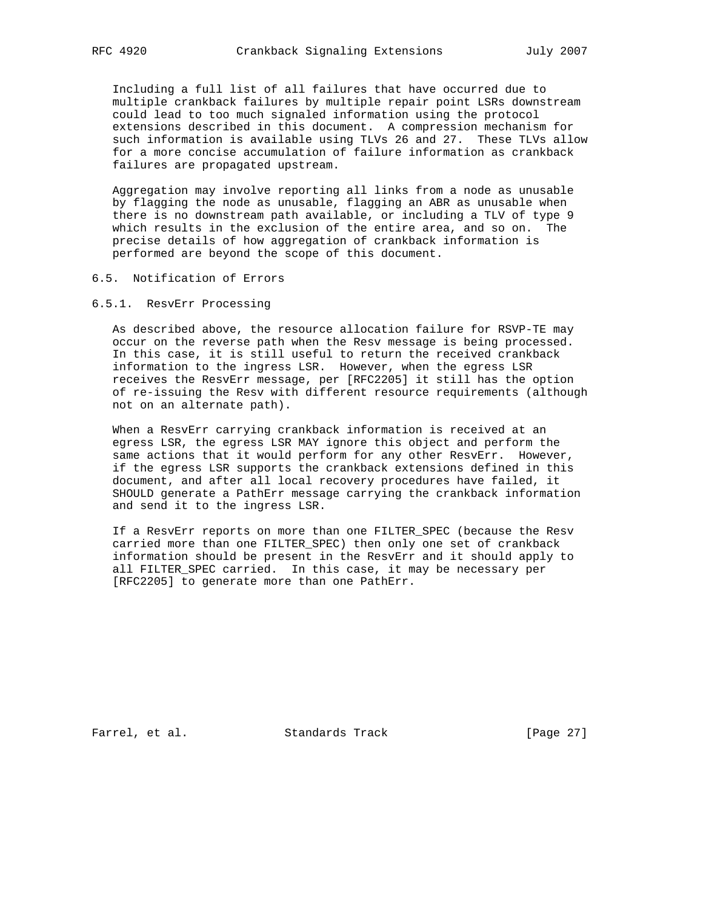Including a full list of all failures that have occurred due to multiple crankback failures by multiple repair point LSRs downstream could lead to too much signaled information using the protocol extensions described in this document. A compression mechanism for such information is available using TLVs 26 and 27. These TLVs allow for a more concise accumulation of failure information as crankback failures are propagated upstream.

 Aggregation may involve reporting all links from a node as unusable by flagging the node as unusable, flagging an ABR as unusable when there is no downstream path available, or including a TLV of type 9 which results in the exclusion of the entire area, and so on. The precise details of how aggregation of crankback information is performed are beyond the scope of this document.

# 6.5. Notification of Errors

# 6.5.1. ResvErr Processing

 As described above, the resource allocation failure for RSVP-TE may occur on the reverse path when the Resv message is being processed. In this case, it is still useful to return the received crankback information to the ingress LSR. However, when the egress LSR receives the ResvErr message, per [RFC2205] it still has the option of re-issuing the Resv with different resource requirements (although not on an alternate path).

 When a ResvErr carrying crankback information is received at an egress LSR, the egress LSR MAY ignore this object and perform the same actions that it would perform for any other ResvErr. However, if the egress LSR supports the crankback extensions defined in this document, and after all local recovery procedures have failed, it SHOULD generate a PathErr message carrying the crankback information and send it to the ingress LSR.

 If a ResvErr reports on more than one FILTER\_SPEC (because the Resv carried more than one FILTER\_SPEC) then only one set of crankback information should be present in the ResvErr and it should apply to all FILTER\_SPEC carried. In this case, it may be necessary per [RFC2205] to generate more than one PathErr.

Farrel, et al. Standards Track [Page 27]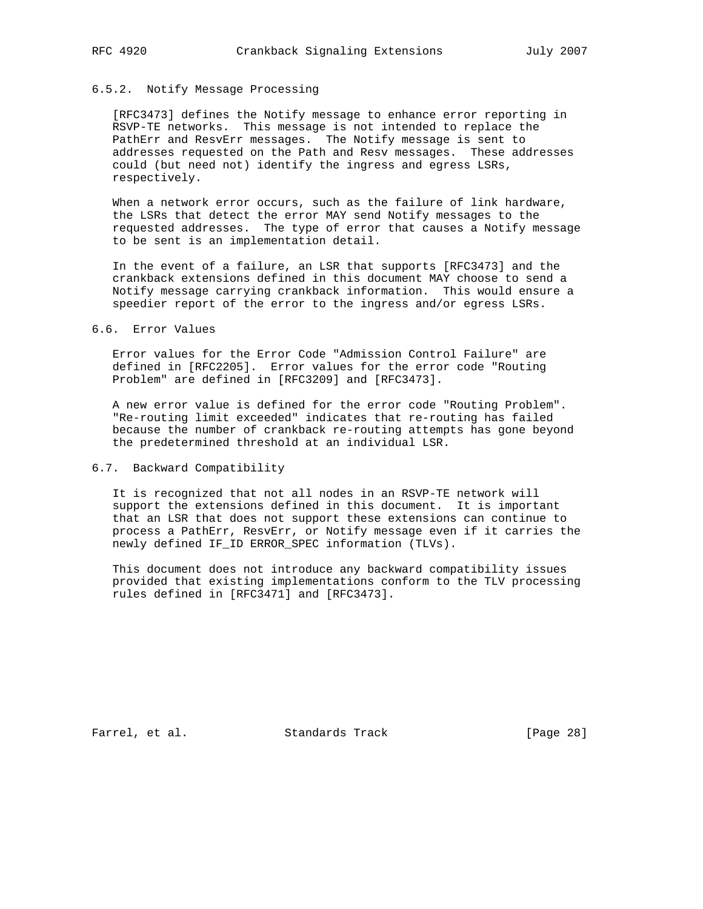# 6.5.2. Notify Message Processing

 [RFC3473] defines the Notify message to enhance error reporting in RSVP-TE networks. This message is not intended to replace the PathErr and ResvErr messages. The Notify message is sent to addresses requested on the Path and Resv messages. These addresses could (but need not) identify the ingress and egress LSRs, respectively.

When a network error occurs, such as the failure of link hardware, the LSRs that detect the error MAY send Notify messages to the requested addresses. The type of error that causes a Notify message to be sent is an implementation detail.

 In the event of a failure, an LSR that supports [RFC3473] and the crankback extensions defined in this document MAY choose to send a Notify message carrying crankback information. This would ensure a speedier report of the error to the ingress and/or egress LSRs.

### 6.6. Error Values

 Error values for the Error Code "Admission Control Failure" are defined in [RFC2205]. Error values for the error code "Routing Problem" are defined in [RFC3209] and [RFC3473].

 A new error value is defined for the error code "Routing Problem". "Re-routing limit exceeded" indicates that re-routing has failed because the number of crankback re-routing attempts has gone beyond the predetermined threshold at an individual LSR.

# 6.7. Backward Compatibility

 It is recognized that not all nodes in an RSVP-TE network will support the extensions defined in this document. It is important that an LSR that does not support these extensions can continue to process a PathErr, ResvErr, or Notify message even if it carries the newly defined IF\_ID ERROR\_SPEC information (TLVs).

 This document does not introduce any backward compatibility issues provided that existing implementations conform to the TLV processing rules defined in [RFC3471] and [RFC3473].

Farrel, et al. Standards Track [Page 28]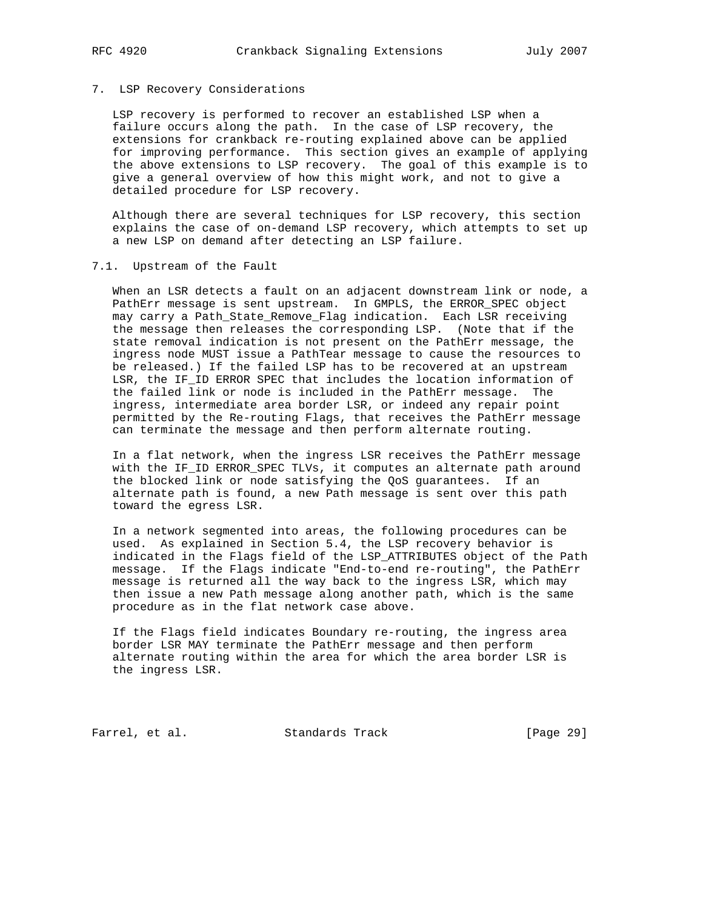## 7. LSP Recovery Considerations

 LSP recovery is performed to recover an established LSP when a failure occurs along the path. In the case of LSP recovery, the extensions for crankback re-routing explained above can be applied for improving performance. This section gives an example of applying the above extensions to LSP recovery. The goal of this example is to give a general overview of how this might work, and not to give a detailed procedure for LSP recovery.

 Although there are several techniques for LSP recovery, this section explains the case of on-demand LSP recovery, which attempts to set up a new LSP on demand after detecting an LSP failure.

## 7.1. Upstream of the Fault

 When an LSR detects a fault on an adjacent downstream link or node, a PathErr message is sent upstream. In GMPLS, the ERROR\_SPEC object may carry a Path\_State\_Remove\_Flag indication. Each LSR receiving the message then releases the corresponding LSP. (Note that if the state removal indication is not present on the PathErr message, the ingress node MUST issue a PathTear message to cause the resources to be released.) If the failed LSP has to be recovered at an upstream LSR, the IF\_ID ERROR SPEC that includes the location information of the failed link or node is included in the PathErr message. The ingress, intermediate area border LSR, or indeed any repair point permitted by the Re-routing Flags, that receives the PathErr message can terminate the message and then perform alternate routing.

 In a flat network, when the ingress LSR receives the PathErr message with the IF\_ID ERROR\_SPEC TLVs, it computes an alternate path around the blocked link or node satisfying the QoS guarantees. If an alternate path is found, a new Path message is sent over this path toward the egress LSR.

 In a network segmented into areas, the following procedures can be used. As explained in Section 5.4, the LSP recovery behavior is indicated in the Flags field of the LSP\_ATTRIBUTES object of the Path message. If the Flags indicate "End-to-end re-routing", the PathErr message is returned all the way back to the ingress LSR, which may then issue a new Path message along another path, which is the same procedure as in the flat network case above.

 If the Flags field indicates Boundary re-routing, the ingress area border LSR MAY terminate the PathErr message and then perform alternate routing within the area for which the area border LSR is the ingress LSR.

Farrel, et al. Standards Track [Page 29]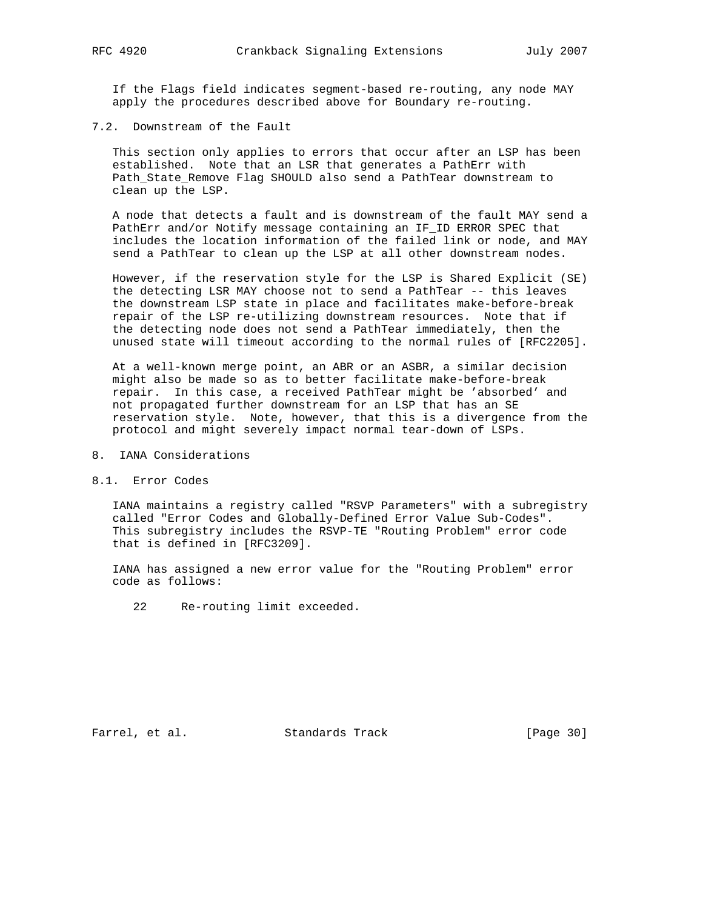If the Flags field indicates segment-based re-routing, any node MAY apply the procedures described above for Boundary re-routing.

7.2. Downstream of the Fault

 This section only applies to errors that occur after an LSP has been established. Note that an LSR that generates a PathErr with Path\_State\_Remove Flag SHOULD also send a PathTear downstream to clean up the LSP.

 A node that detects a fault and is downstream of the fault MAY send a PathErr and/or Notify message containing an IF\_ID ERROR SPEC that includes the location information of the failed link or node, and MAY send a PathTear to clean up the LSP at all other downstream nodes.

 However, if the reservation style for the LSP is Shared Explicit (SE) the detecting LSR MAY choose not to send a PathTear -- this leaves the downstream LSP state in place and facilitates make-before-break repair of the LSP re-utilizing downstream resources. Note that if the detecting node does not send a PathTear immediately, then the unused state will timeout according to the normal rules of [RFC2205].

 At a well-known merge point, an ABR or an ASBR, a similar decision might also be made so as to better facilitate make-before-break repair. In this case, a received PathTear might be 'absorbed' and not propagated further downstream for an LSP that has an SE reservation style. Note, however, that this is a divergence from the protocol and might severely impact normal tear-down of LSPs.

- 8. IANA Considerations
- 8.1. Error Codes

 IANA maintains a registry called "RSVP Parameters" with a subregistry called "Error Codes and Globally-Defined Error Value Sub-Codes". This subregistry includes the RSVP-TE "Routing Problem" error code that is defined in [RFC3209].

 IANA has assigned a new error value for the "Routing Problem" error code as follows:

22 Re-routing limit exceeded.

Farrel, et al. Standards Track [Page 30]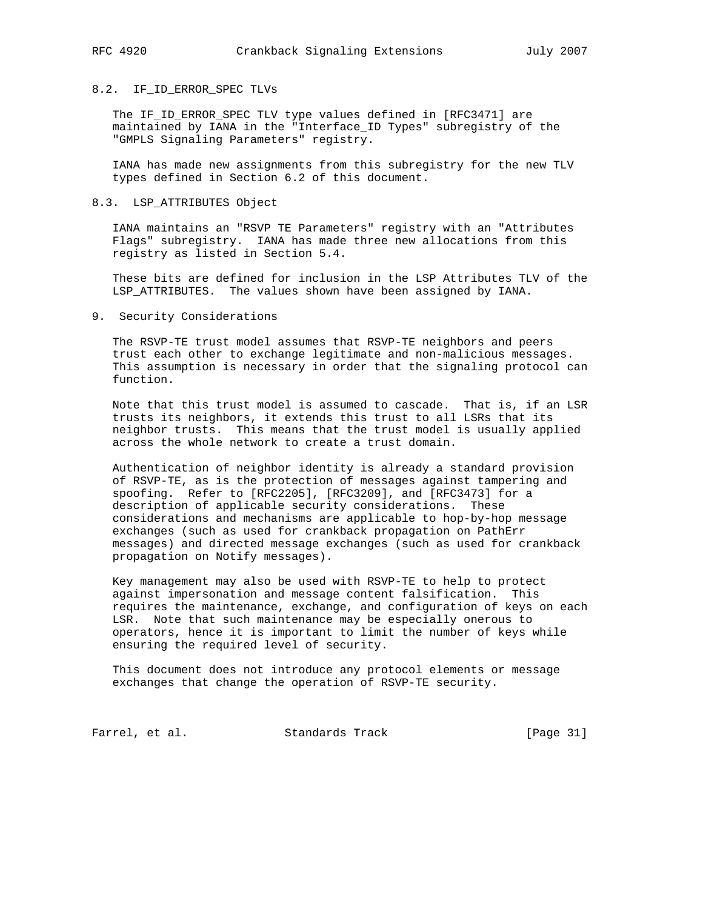# 8.2. IF\_ID\_ERROR\_SPEC TLVs

 The IF\_ID\_ERROR\_SPEC TLV type values defined in [RFC3471] are maintained by IANA in the "Interface\_ID Types" subregistry of the "GMPLS Signaling Parameters" registry.

 IANA has made new assignments from this subregistry for the new TLV types defined in Section 6.2 of this document.

# 8.3. LSP\_ATTRIBUTES Object

 IANA maintains an "RSVP TE Parameters" registry with an "Attributes Flags" subregistry. IANA has made three new allocations from this registry as listed in Section 5.4.

 These bits are defined for inclusion in the LSP Attributes TLV of the LSP\_ATTRIBUTES. The values shown have been assigned by IANA.

### 9. Security Considerations

 The RSVP-TE trust model assumes that RSVP-TE neighbors and peers trust each other to exchange legitimate and non-malicious messages. This assumption is necessary in order that the signaling protocol can function.

 Note that this trust model is assumed to cascade. That is, if an LSR trusts its neighbors, it extends this trust to all LSRs that its neighbor trusts. This means that the trust model is usually applied across the whole network to create a trust domain.

 Authentication of neighbor identity is already a standard provision of RSVP-TE, as is the protection of messages against tampering and spoofing. Refer to [RFC2205], [RFC3209], and [RFC3473] for a description of applicable security considerations. These considerations and mechanisms are applicable to hop-by-hop message exchanges (such as used for crankback propagation on PathErr messages) and directed message exchanges (such as used for crankback propagation on Notify messages).

 Key management may also be used with RSVP-TE to help to protect against impersonation and message content falsification. This requires the maintenance, exchange, and configuration of keys on each LSR. Note that such maintenance may be especially onerous to operators, hence it is important to limit the number of keys while ensuring the required level of security.

 This document does not introduce any protocol elements or message exchanges that change the operation of RSVP-TE security.

Farrel, et al. Standards Track [Page 31]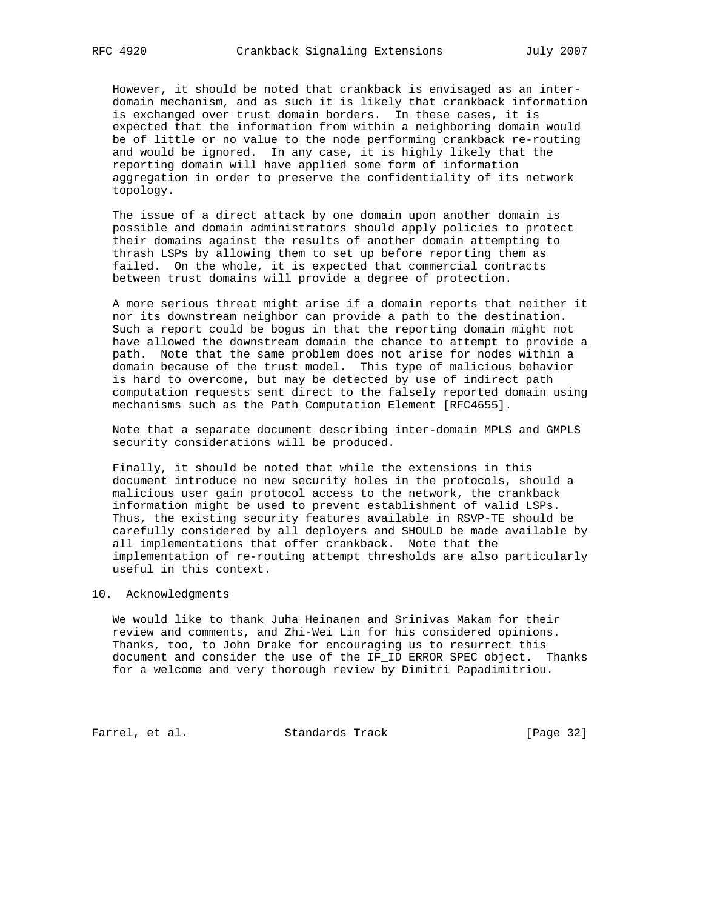However, it should be noted that crankback is envisaged as an inter domain mechanism, and as such it is likely that crankback information is exchanged over trust domain borders. In these cases, it is expected that the information from within a neighboring domain would be of little or no value to the node performing crankback re-routing and would be ignored. In any case, it is highly likely that the reporting domain will have applied some form of information aggregation in order to preserve the confidentiality of its network topology.

 The issue of a direct attack by one domain upon another domain is possible and domain administrators should apply policies to protect their domains against the results of another domain attempting to thrash LSPs by allowing them to set up before reporting them as failed. On the whole, it is expected that commercial contracts between trust domains will provide a degree of protection.

 A more serious threat might arise if a domain reports that neither it nor its downstream neighbor can provide a path to the destination. Such a report could be bogus in that the reporting domain might not have allowed the downstream domain the chance to attempt to provide a path. Note that the same problem does not arise for nodes within a domain because of the trust model. This type of malicious behavior is hard to overcome, but may be detected by use of indirect path computation requests sent direct to the falsely reported domain using mechanisms such as the Path Computation Element [RFC4655].

 Note that a separate document describing inter-domain MPLS and GMPLS security considerations will be produced.

 Finally, it should be noted that while the extensions in this document introduce no new security holes in the protocols, should a malicious user gain protocol access to the network, the crankback information might be used to prevent establishment of valid LSPs. Thus, the existing security features available in RSVP-TE should be carefully considered by all deployers and SHOULD be made available by all implementations that offer crankback. Note that the implementation of re-routing attempt thresholds are also particularly useful in this context.

### 10. Acknowledgments

 We would like to thank Juha Heinanen and Srinivas Makam for their review and comments, and Zhi-Wei Lin for his considered opinions. Thanks, too, to John Drake for encouraging us to resurrect this document and consider the use of the IF\_ID ERROR SPEC object. Thanks for a welcome and very thorough review by Dimitri Papadimitriou.

Farrel, et al. Standards Track [Page 32]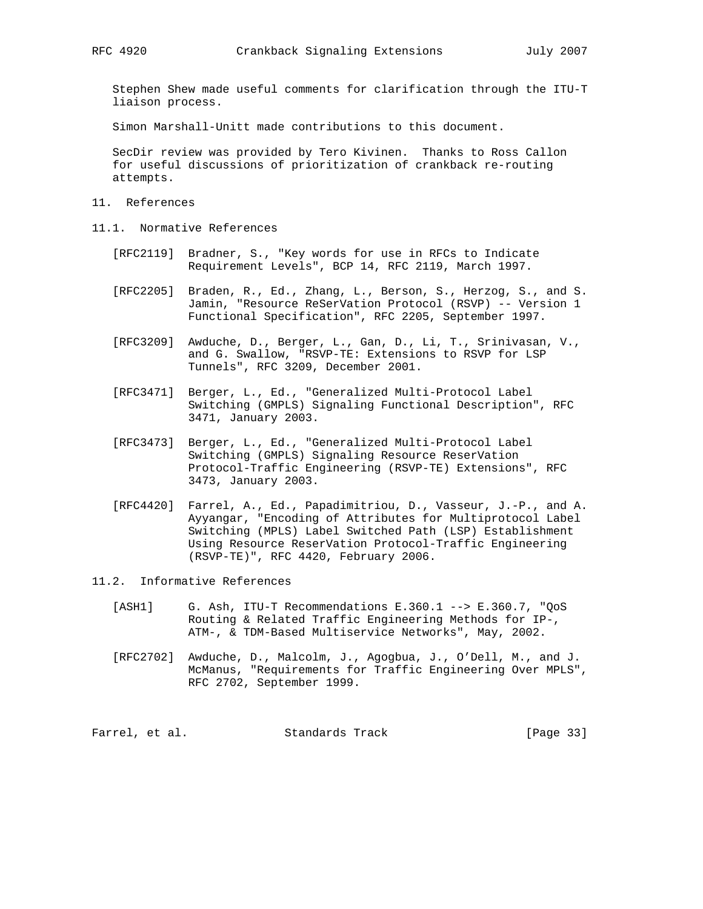Stephen Shew made useful comments for clarification through the ITU-T liaison process.

Simon Marshall-Unitt made contributions to this document.

 SecDir review was provided by Tero Kivinen. Thanks to Ross Callon for useful discussions of prioritization of crankback re-routing attempts.

- 11. References
- 11.1. Normative References
	- [RFC2119] Bradner, S., "Key words for use in RFCs to Indicate Requirement Levels", BCP 14, RFC 2119, March 1997.
	- [RFC2205] Braden, R., Ed., Zhang, L., Berson, S., Herzog, S., and S. Jamin, "Resource ReSerVation Protocol (RSVP) -- Version 1 Functional Specification", RFC 2205, September 1997.
	- [RFC3209] Awduche, D., Berger, L., Gan, D., Li, T., Srinivasan, V., and G. Swallow, "RSVP-TE: Extensions to RSVP for LSP Tunnels", RFC 3209, December 2001.
	- [RFC3471] Berger, L., Ed., "Generalized Multi-Protocol Label Switching (GMPLS) Signaling Functional Description", RFC 3471, January 2003.
	- [RFC3473] Berger, L., Ed., "Generalized Multi-Protocol Label Switching (GMPLS) Signaling Resource ReserVation Protocol-Traffic Engineering (RSVP-TE) Extensions", RFC 3473, January 2003.
	- [RFC4420] Farrel, A., Ed., Papadimitriou, D., Vasseur, J.-P., and A. Ayyangar, "Encoding of Attributes for Multiprotocol Label Switching (MPLS) Label Switched Path (LSP) Establishment Using Resource ReserVation Protocol-Traffic Engineering (RSVP-TE)", RFC 4420, February 2006.
- 11.2. Informative References
	- [ASH1] G. Ash, ITU-T Recommendations E.360.1 --> E.360.7, "QoS Routing & Related Traffic Engineering Methods for IP-, ATM-, & TDM-Based Multiservice Networks", May, 2002.
	- [RFC2702] Awduche, D., Malcolm, J., Agogbua, J., O'Dell, M., and J. McManus, "Requirements for Traffic Engineering Over MPLS", RFC 2702, September 1999.

Farrel, et al. Standards Track [Page 33]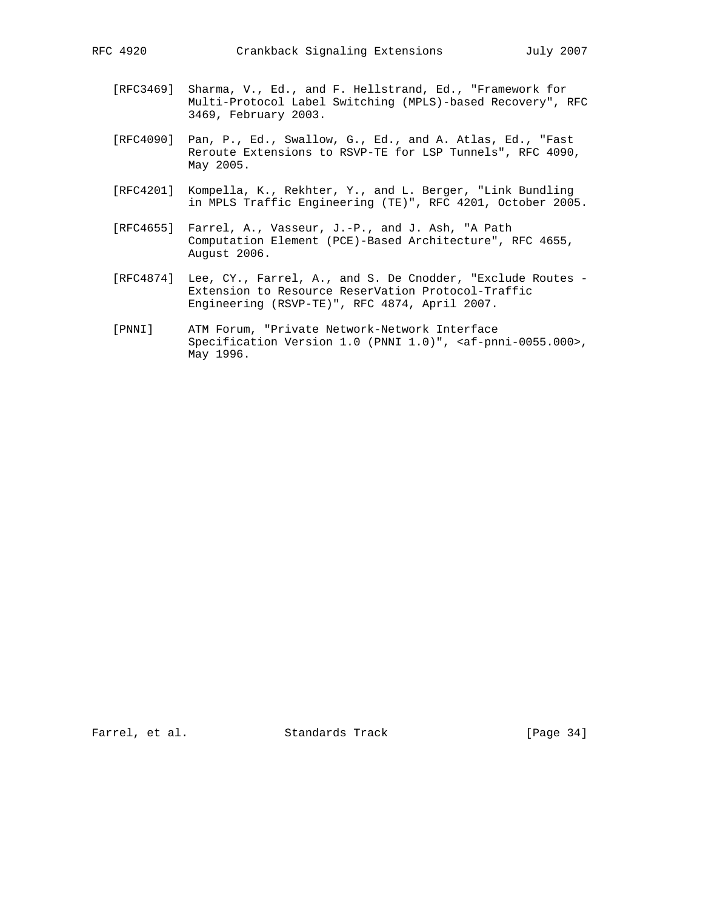- [RFC3469] Sharma, V., Ed., and F. Hellstrand, Ed., "Framework for Multi-Protocol Label Switching (MPLS)-based Recovery", RFC 3469, February 2003.
- [RFC4090] Pan, P., Ed., Swallow, G., Ed., and A. Atlas, Ed., "Fast Reroute Extensions to RSVP-TE for LSP Tunnels", RFC 4090, May 2005.
- [RFC4201] Kompella, K., Rekhter, Y., and L. Berger, "Link Bundling in MPLS Traffic Engineering (TE)", RFC 4201, October 2005.
- [RFC4655] Farrel, A., Vasseur, J.-P., and J. Ash, "A Path Computation Element (PCE)-Based Architecture", RFC 4655, August 2006.
- [RFC4874] Lee, CY., Farrel, A., and S. De Cnodder, "Exclude Routes Extension to Resource ReserVation Protocol-Traffic Engineering (RSVP-TE)", RFC 4874, April 2007.
- [PNNI] ATM Forum, "Private Network-Network Interface Specification Version 1.0 (PNNI 1.0)", <af-pnni-0055.000>, May 1996.

Farrel, et al. Standards Track [Page 34]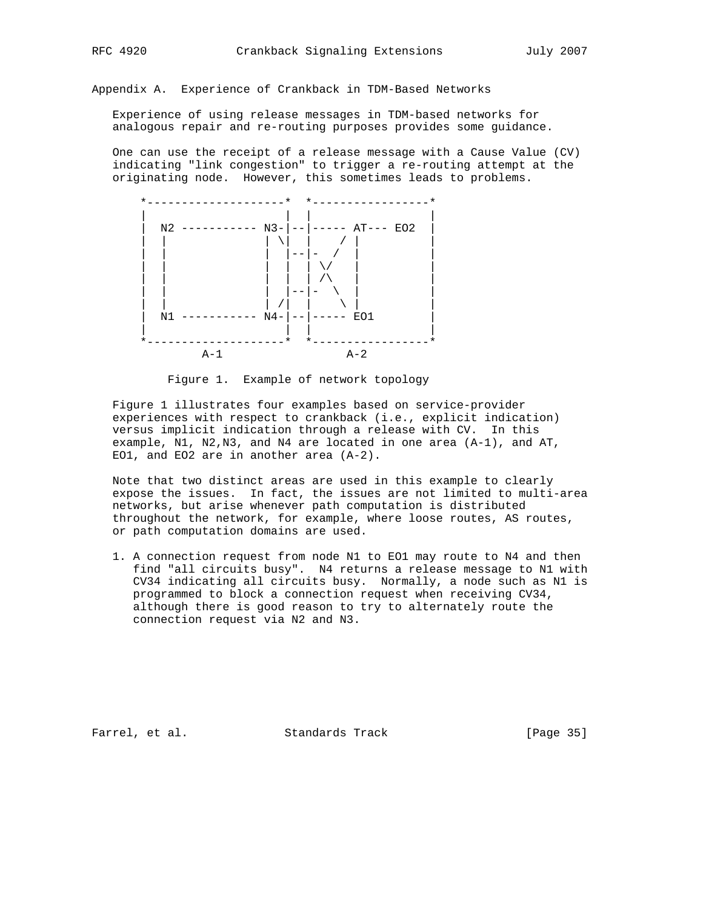Appendix A. Experience of Crankback in TDM-Based Networks

 Experience of using release messages in TDM-based networks for analogous repair and re-routing purposes provides some guidance.

 One can use the receipt of a release message with a Cause Value (CV) indicating "link congestion" to trigger a re-routing attempt at the originating node. However, this sometimes leads to problems.



Figure 1. Example of network topology

 Figure 1 illustrates four examples based on service-provider experiences with respect to crankback (i.e., explicit indication) versus implicit indication through a release with CV. In this example, N1, N2,N3, and N4 are located in one area (A-1), and AT, EO1, and EO2 are in another area (A-2).

 Note that two distinct areas are used in this example to clearly expose the issues. In fact, the issues are not limited to multi-area networks, but arise whenever path computation is distributed throughout the network, for example, where loose routes, AS routes, or path computation domains are used.

 1. A connection request from node N1 to EO1 may route to N4 and then find "all circuits busy". N4 returns a release message to N1 with CV34 indicating all circuits busy. Normally, a node such as N1 is programmed to block a connection request when receiving CV34, although there is good reason to try to alternately route the connection request via N2 and N3.

Farrel, et al. Standards Track [Page 35]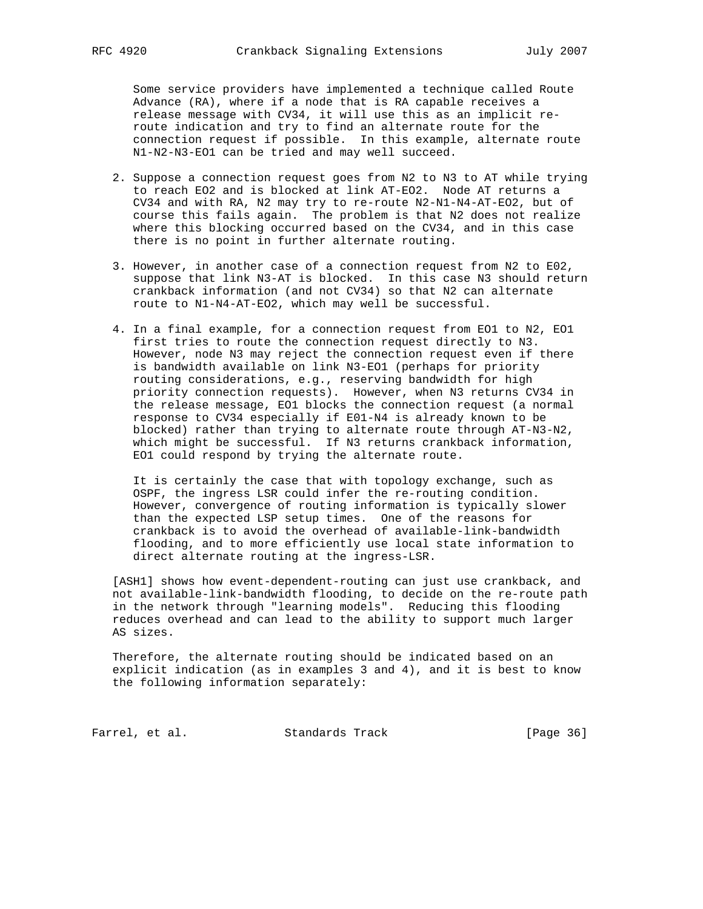Some service providers have implemented a technique called Route Advance (RA), where if a node that is RA capable receives a release message with CV34, it will use this as an implicit re route indication and try to find an alternate route for the connection request if possible. In this example, alternate route N1-N2-N3-EO1 can be tried and may well succeed.

- 2. Suppose a connection request goes from N2 to N3 to AT while trying to reach EO2 and is blocked at link AT-EO2. Node AT returns a CV34 and with RA, N2 may try to re-route N2-N1-N4-AT-EO2, but of course this fails again. The problem is that N2 does not realize where this blocking occurred based on the CV34, and in this case there is no point in further alternate routing.
- 3. However, in another case of a connection request from N2 to E02, suppose that link N3-AT is blocked. In this case N3 should return crankback information (and not CV34) so that N2 can alternate route to N1-N4-AT-EO2, which may well be successful.
- 4. In a final example, for a connection request from EO1 to N2, EO1 first tries to route the connection request directly to N3. However, node N3 may reject the connection request even if there is bandwidth available on link N3-EO1 (perhaps for priority routing considerations, e.g., reserving bandwidth for high priority connection requests). However, when N3 returns CV34 in the release message, EO1 blocks the connection request (a normal response to CV34 especially if E01-N4 is already known to be blocked) rather than trying to alternate route through AT-N3-N2, which might be successful. If N3 returns crankback information, EO1 could respond by trying the alternate route.

 It is certainly the case that with topology exchange, such as OSPF, the ingress LSR could infer the re-routing condition. However, convergence of routing information is typically slower than the expected LSP setup times. One of the reasons for crankback is to avoid the overhead of available-link-bandwidth flooding, and to more efficiently use local state information to direct alternate routing at the ingress-LSR.

 [ASH1] shows how event-dependent-routing can just use crankback, and not available-link-bandwidth flooding, to decide on the re-route path in the network through "learning models". Reducing this flooding reduces overhead and can lead to the ability to support much larger AS sizes.

 Therefore, the alternate routing should be indicated based on an explicit indication (as in examples 3 and 4), and it is best to know the following information separately:

Farrel, et al. Standards Track [Page 36]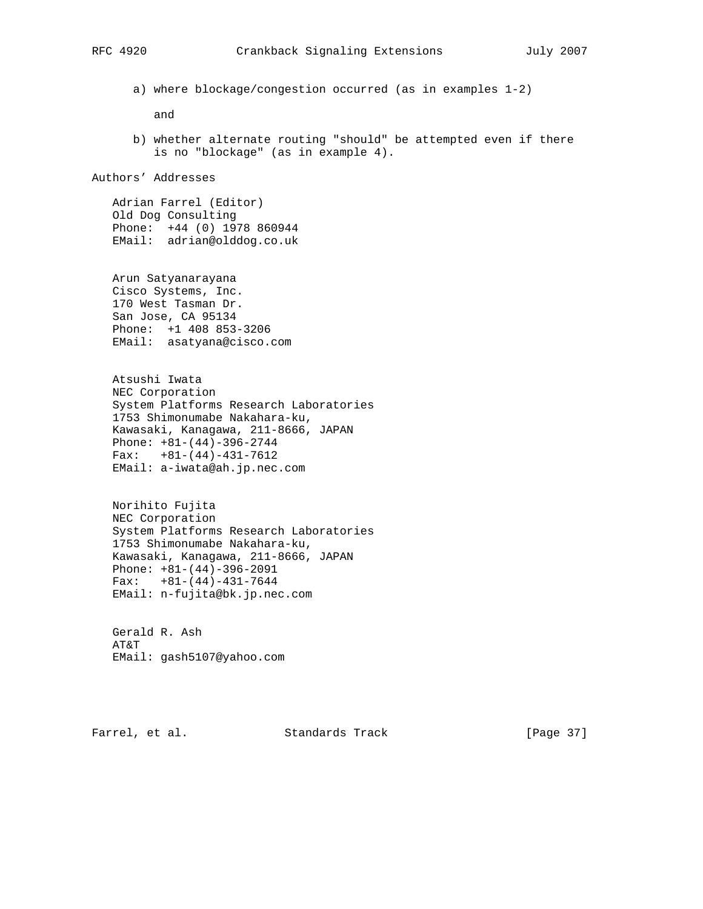a) where blockage/congestion occurred (as in examples 1-2)

and

 b) whether alternate routing "should" be attempted even if there is no "blockage" (as in example 4).

Authors' Addresses

 Adrian Farrel (Editor) Old Dog Consulting Phone: +44 (0) 1978 860944 EMail: adrian@olddog.co.uk

 Arun Satyanarayana Cisco Systems, Inc. 170 West Tasman Dr. San Jose, CA 95134 Phone: +1 408 853-3206 EMail: asatyana@cisco.com

 Atsushi Iwata NEC Corporation System Platforms Research Laboratories 1753 Shimonumabe Nakahara-ku, Kawasaki, Kanagawa, 211-8666, JAPAN Phone: +81-(44)-396-2744  $Fax: +81-(44)-431-7612$ EMail: a-iwata@ah.jp.nec.com

 Norihito Fujita NEC Corporation System Platforms Research Laboratories 1753 Shimonumabe Nakahara-ku, Kawasaki, Kanagawa, 211-8666, JAPAN Phone: +81-(44)-396-2091  $Fax: +81-(44)-431-7644$ EMail: n-fujita@bk.jp.nec.com

 Gerald R. Ash AT&T EMail: gash5107@yahoo.com

Farrel, et al. Standards Track [Page 37]